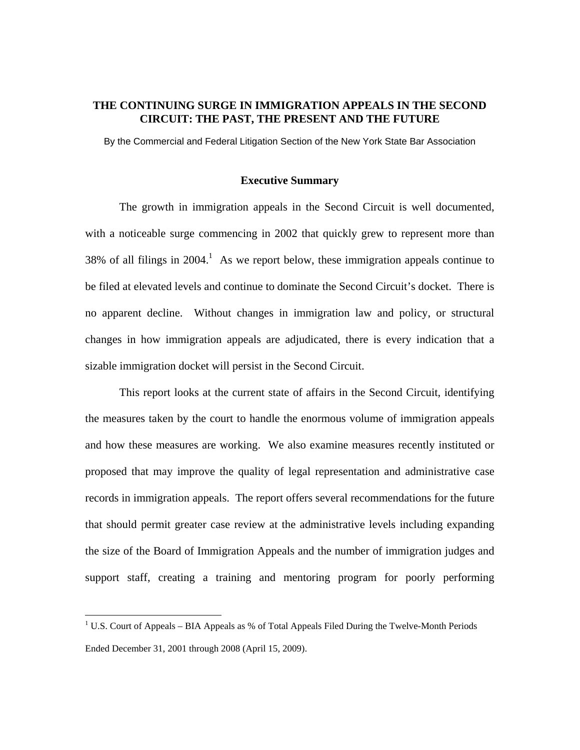## **THE CONTINUING SURGE IN IMMIGRATION APPEALS IN THE SECOND CIRCUIT: THE PAST, THE PRESENT AND THE FUTURE**

By the Commercial and Federal Litigation Section of the New York State Bar Association

#### **Executive Summary**

The growth in immigration appeals in the Second Circuit is well documented, with a noticeable surge commencing in 2002 that quickly grew to represent more than 38% of all filings in  $2004$ .<sup>1</sup> As we report below, these immigration appeals continue to be filed at elevated levels and continue to dominate the Second Circuit's docket. There is no apparent decline. Without changes in immigration law and policy, or structural changes in how immigration appeals are adjudicated, there is every indication that a sizable immigration docket will persist in the Second Circuit.

This report looks at the current state of affairs in the Second Circuit, identifying the measures taken by the court to handle the enormous volume of immigration appeals and how these measures are working. We also examine measures recently instituted or proposed that may improve the quality of legal representation and administrative case records in immigration appeals. The report offers several recommendations for the future that should permit greater case review at the administrative levels including expanding the size of the Board of Immigration Appeals and the number of immigration judges and support staff, creating a training and mentoring program for poorly performing

<sup>&</sup>lt;sup>1</sup> U.S. Court of Appeals – BIA Appeals as % of Total Appeals Filed During the Twelve-Month Periods Ended December 31, 2001 through 2008 (April 15, 2009).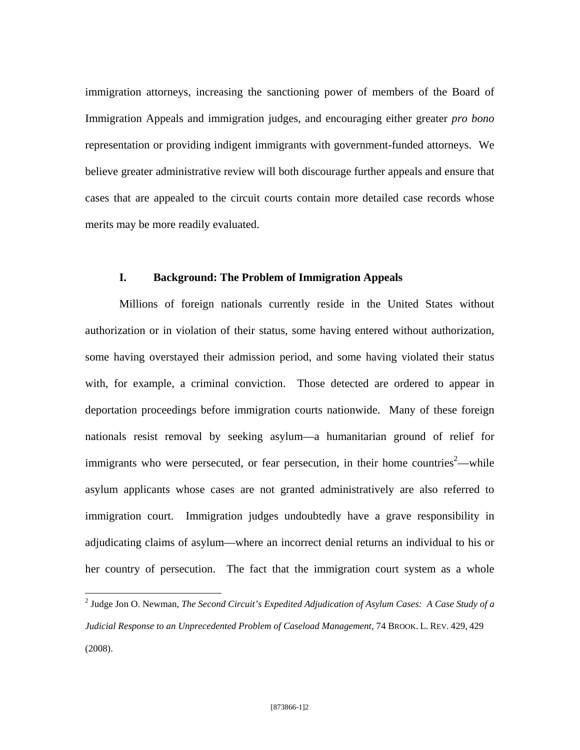immigration attorneys, increasing the sanctioning power of members of the Board of Immigration Appeals and immigration judges, and encouraging either greater *pro bono*  representation or providing indigent immigrants with government-funded attorneys. We believe greater administrative review will both discourage further appeals and ensure that cases that are appealed to the circuit courts contain more detailed case records whose merits may be more readily evaluated.

### **I. Background: The Problem of Immigration Appeals**

Millions of foreign nationals currently reside in the United States without authorization or in violation of their status, some having entered without authorization, some having overstayed their admission period, and some having violated their status with, for example, a criminal conviction. Those detected are ordered to appear in deportation proceedings before immigration courts nationwide. Many of these foreign nationals resist removal by seeking asylum—a humanitarian ground of relief for immigrants who were persecuted, or fear persecution, in their home countries<sup>2</sup>—while asylum applicants whose cases are not granted administratively are also referred to immigration court. Immigration judges undoubtedly have a grave responsibility in adjudicating claims of asylum—where an incorrect denial returns an individual to his or her country of persecution. The fact that the immigration court system as a whole

 2 Judge Jon O. Newman, *The Second Circuit's Expedited Adjudication of Asylum Cases: A Case Study of a Judicial Response to an Unprecedented Problem of Caseload Management,* 74 BROOK. L. REV. 429, 429 (2008).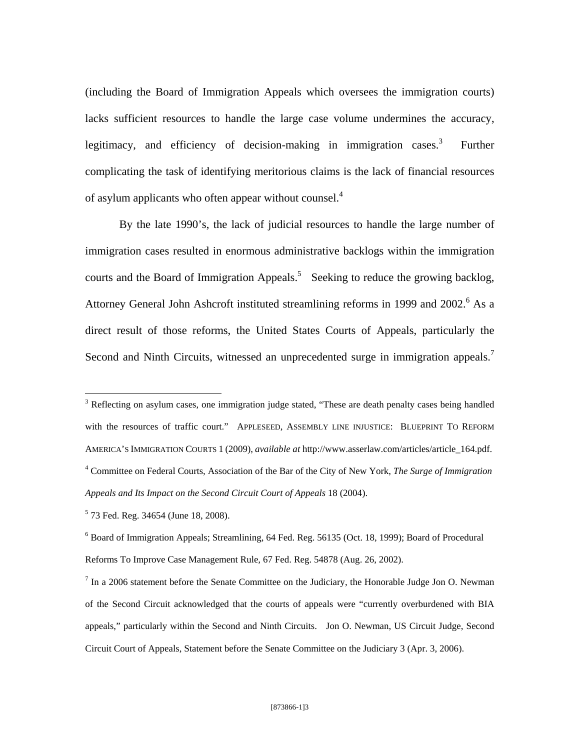(including the Board of Immigration Appeals which oversees the immigration courts) lacks sufficient resources to handle the large case volume undermines the accuracy, legitimacy, and efficiency of decision-making in immigration cases. $3$  Further complicating the task of identifying meritorious claims is the lack of financial resources of asylum applicants who often appear without counsel.<sup>4</sup>

By the late 1990's, the lack of judicial resources to handle the large number of immigration cases resulted in enormous administrative backlogs within the immigration courts and the Board of Immigration Appeals.<sup>5</sup> Seeking to reduce the growing backlog, Attorney General John Ashcroft instituted streamlining reforms in 1999 and 2002.<sup>6</sup> As a direct result of those reforms, the United States Courts of Appeals, particularly the Second and Ninth Circuits, witnessed an unprecedented surge in immigration appeals.<sup>7</sup>

<u>.</u>

<sup>&</sup>lt;sup>3</sup> Reflecting on asylum cases, one immigration judge stated, "These are death penalty cases being handled with the resources of traffic court." APPLESEED, ASSEMBLY LINE INJUSTICE: BLUEPRINT TO REFORM AMERICA'S IMMIGRATION COURTS 1 (2009), *available at* http://www.asserlaw.com/articles/article\_164.pdf. 4 Committee on Federal Courts, Association of the Bar of the City of New York, *The Surge of Immigration Appeals and Its Impact on the Second Circuit Court of Appeals* 18 (2004).

<sup>5</sup> 73 Fed. Reg. 34654 (June 18, 2008).

<sup>&</sup>lt;sup>6</sup> Board of Immigration Appeals; Streamlining, 64 Fed. Reg. 56135 (Oct. 18, 1999); Board of Procedural Reforms To Improve Case Management Rule*,* 67 Fed. Reg. 54878 (Aug. 26, 2002).

 $<sup>7</sup>$  In a 2006 statement before the Senate Committee on the Judiciary, the Honorable Judge Jon O. Newman</sup> of the Second Circuit acknowledged that the courts of appeals were "currently overburdened with BIA appeals," particularly within the Second and Ninth Circuits. Jon O. Newman, US Circuit Judge, Second Circuit Court of Appeals, Statement before the Senate Committee on the Judiciary 3 (Apr. 3, 2006).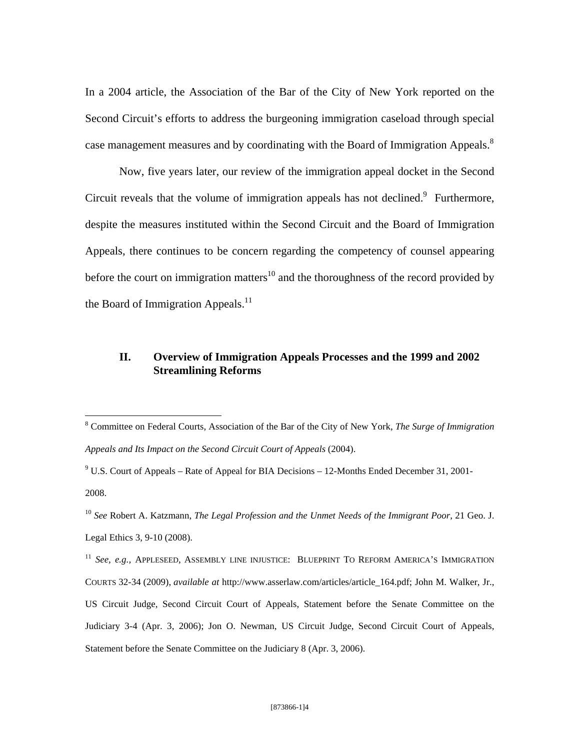In a 2004 article, the Association of the Bar of the City of New York reported on the Second Circuit's efforts to address the burgeoning immigration caseload through special case management measures and by coordinating with the Board of Immigration Appeals.<sup>8</sup>

Now, five years later, our review of the immigration appeal docket in the Second Circuit reveals that the volume of immigration appeals has not declined. $9$  Furthermore, despite the measures instituted within the Second Circuit and the Board of Immigration Appeals, there continues to be concern regarding the competency of counsel appearing before the court on immigration matters<sup>10</sup> and the thoroughness of the record provided by the Board of Immigration Appeals. $^{11}$ 

# **II. Overview of Immigration Appeals Processes and the 1999 and 2002 Streamlining Reforms**

 $9^9$  U.S. Court of Appeals – Rate of Appeal for BIA Decisions – 12-Months Ended December 31, 2001-2008.

<sup>8</sup> Committee on Federal Courts, Association of the Bar of the City of New York, *The Surge of Immigration Appeals and Its Impact on the Second Circuit Court of Appeals* (2004).

<sup>10</sup> *See* Robert A. Katzmann, *The Legal Profession and the Unmet Needs of the Immigrant Poor*, 21 Geo. J. Legal Ethics 3, 9-10 (2008).

<sup>&</sup>lt;sup>11</sup> *See, e.g., APPLESEED, ASSEMBLY LINE INJUSTICE: BLUEPRINT TO REFORM AMERICA'S IMMIGRATION* COURTS 32-34 (2009), *available at* http://www.asserlaw.com/articles/article\_164.pdf; John M. Walker, Jr., US Circuit Judge, Second Circuit Court of Appeals, Statement before the Senate Committee on the Judiciary 3-4 (Apr. 3, 2006); Jon O. Newman, US Circuit Judge, Second Circuit Court of Appeals, Statement before the Senate Committee on the Judiciary 8 (Apr. 3, 2006).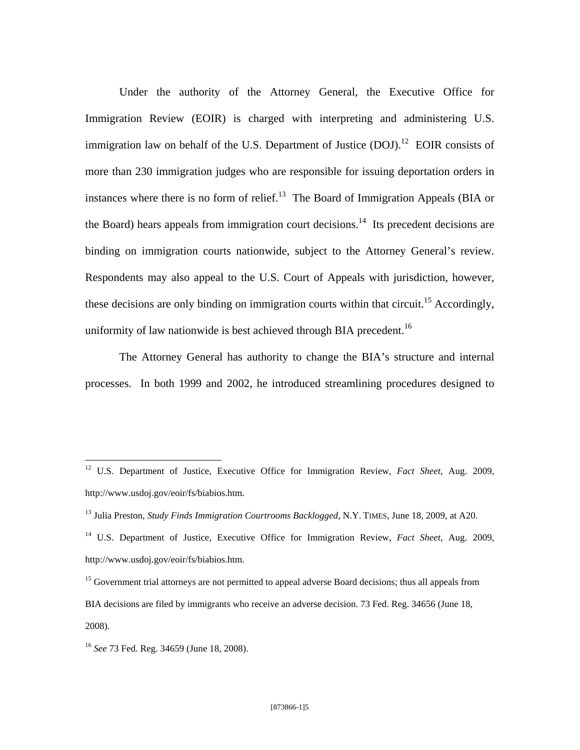Under the authority of the Attorney General, the Executive Office for Immigration Review (EOIR) is charged with interpreting and administering U.S. immigration law on behalf of the U.S. Department of Justice  $(DOJ)$ .<sup>12</sup> EOIR consists of more than 230 immigration judges who are responsible for issuing deportation orders in instances where there is no form of relief.<sup>13</sup> The Board of Immigration Appeals (BIA or the Board) hears appeals from immigration court decisions.<sup>14</sup> Its precedent decisions are binding on immigration courts nationwide, subject to the Attorney General's review. Respondents may also appeal to the U.S. Court of Appeals with jurisdiction, however, these decisions are only binding on immigration courts within that circuit.<sup>15</sup> Accordingly, uniformity of law nationwide is best achieved through BIA precedent.<sup>16</sup>

The Attorney General has authority to change the BIA's structure and internal processes. In both 1999 and 2002, he introduced streamlining procedures designed to

<sup>12</sup> U.S. Department of Justice, Executive Office for Immigration Review, *Fact Sheet*, Aug. 2009, http://www.usdoj.gov/eoir/fs/biabios.htm.

<sup>13</sup> Julia Preston, *Study Finds Immigration Courtrooms Backlogged*, N.Y. TIMES, June 18, 2009, at A20.

<sup>14</sup> U.S. Department of Justice, Executive Office for Immigration Review, *Fact Sheet*, Aug. 2009, http://www.usdoj.gov/eoir/fs/biabios.htm.

<sup>&</sup>lt;sup>15</sup> Government trial attorneys are not permitted to appeal adverse Board decisions; thus all appeals from BIA decisions are filed by immigrants who receive an adverse decision. 73 Fed. Reg. 34656 (June 18, 2008).

<sup>16</sup> *See* 73 Fed. Reg. 34659 (June 18, 2008).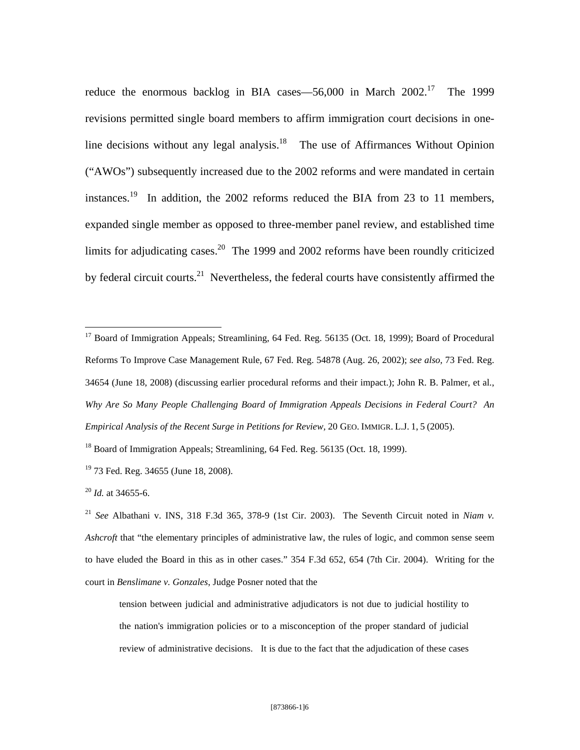reduce the enormous backlog in BIA cases—56,000 in March  $2002$ <sup>17</sup> The 1999 revisions permitted single board members to affirm immigration court decisions in oneline decisions without any legal analysis. $18$  The use of Affirmances Without Opinion ("AWOs") subsequently increased due to the 2002 reforms and were mandated in certain instances.19 In addition, the 2002 reforms reduced the BIA from 23 to 11 members, expanded single member as opposed to three-member panel review, and established time limits for adjudicating cases.<sup>20</sup> The 1999 and 2002 reforms have been roundly criticized by federal circuit courts.<sup>21</sup> Nevertheless, the federal courts have consistently affirmed the

<sup>17</sup> Board of Immigration Appeals; Streamlining, 64 Fed. Reg. 56135 (Oct. 18, 1999); Board of Procedural Reforms To Improve Case Management Rule*,* 67 Fed. Reg. 54878 (Aug. 26, 2002); *see also,* 73 Fed. Reg. 34654 (June 18, 2008) (discussing earlier procedural reforms and their impact.); John R. B. Palmer, et al., *Why Are So Many People Challenging Board of Immigration Appeals Decisions in Federal Court? An Empirical Analysis of the Recent Surge in Petitions for Review,* 20 GEO. IMMIGR. L.J. 1, 5 (2005).

<sup>18</sup> Board of Immigration Appeals; Streamlining, 64 Fed. Reg. 56135 (Oct. 18, 1999).

 $\overline{a}$ 

<sup>21</sup> *See* Albathani v. INS, 318 F.3d 365, 378-9 (1st Cir. 2003). The Seventh Circuit noted in *Niam v. Ashcroft* that "the elementary principles of administrative law, the rules of logic, and common sense seem to have eluded the Board in this as in other cases." 354 F.3d 652, 654 (7th Cir. 2004). Writing for the court in *Benslimane v. Gonzales*, Judge Posner noted that the

tension between judicial and administrative adjudicators is not due to judicial hostility to the nation's immigration policies or to a misconception of the proper standard of judicial review of administrative decisions. It is due to the fact that the adjudication of these cases

<sup>&</sup>lt;sup>19</sup> 73 Fed. Reg. 34655 (June 18, 2008).

<sup>20</sup> *Id.* at 34655-6.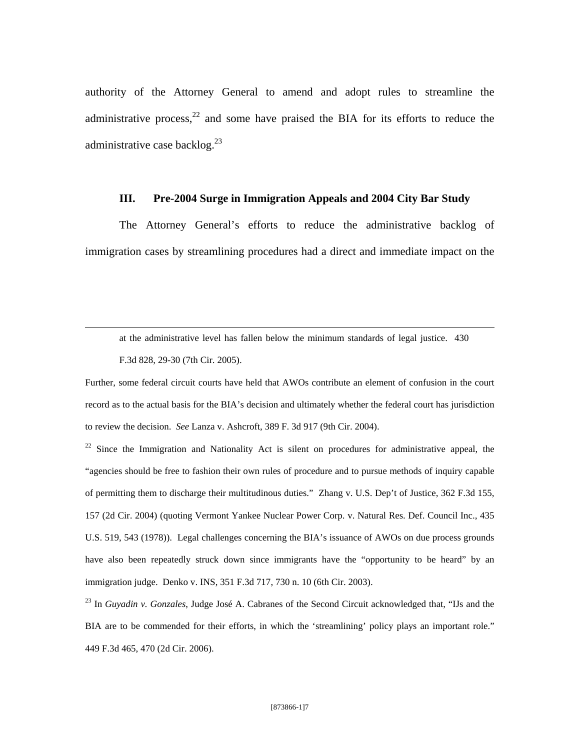authority of the Attorney General to amend and adopt rules to streamline the administrative process, $22$  and some have praised the BIA for its efforts to reduce the administrative case backlog. $^{23}$ 

### **III. Pre-2004 Surge in Immigration Appeals and 2004 City Bar Study**

The Attorney General's efforts to reduce the administrative backlog of immigration cases by streamlining procedures had a direct and immediate impact on the

at the administrative level has fallen below the minimum standards of legal justice. 430 F.3d 828, 29-30 (7th Cir. 2005).

<u>.</u>

Further, some federal circuit courts have held that AWOs contribute an element of confusion in the court record as to the actual basis for the BIA's decision and ultimately whether the federal court has jurisdiction to review the decision. *See* Lanza v. Ashcroft, 389 F. 3d 917 (9th Cir. 2004).

 $22$  Since the Immigration and Nationality Act is silent on procedures for administrative appeal, the "agencies should be free to fashion their own rules of procedure and to pursue methods of inquiry capable of permitting them to discharge their multitudinous duties." Zhang v. U.S. Dep't of Justice, 362 F.3d 155, 157 (2d Cir. 2004) (quoting Vermont Yankee Nuclear Power Corp. v. Natural Res. Def. Council Inc., 435 U.S. 519, 543 (1978)). Legal challenges concerning the BIA's issuance of AWOs on due process grounds have also been repeatedly struck down since immigrants have the "opportunity to be heard" by an immigration judge. Denko v. INS, 351 F.3d 717, 730 n. 10 (6th Cir. 2003).

23 In *Guyadin v. Gonzales*, Judge José A. Cabranes of the Second Circuit acknowledged that, "IJs and the BIA are to be commended for their efforts, in which the 'streamlining' policy plays an important role." 449 F.3d 465, 470 (2d Cir. 2006).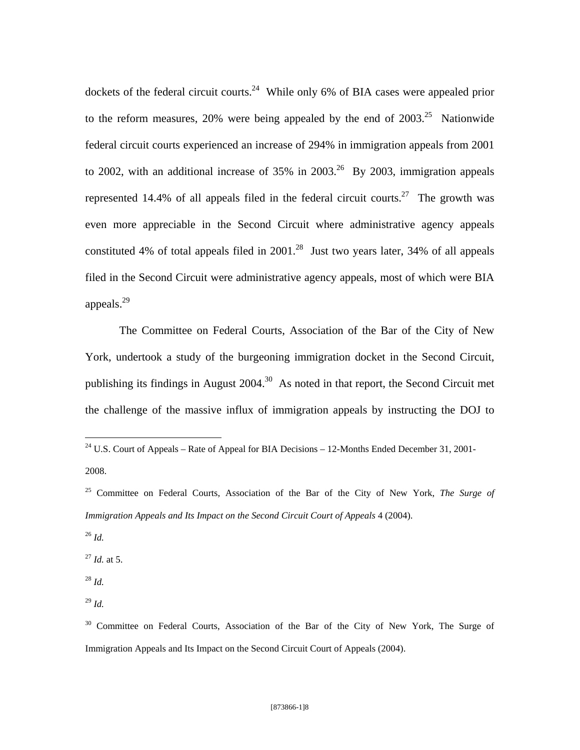dockets of the federal circuit courts.<sup>24</sup> While only 6% of BIA cases were appealed prior to the reform measures, 20% were being appealed by the end of  $2003.<sup>25</sup>$  Nationwide federal circuit courts experienced an increase of 294% in immigration appeals from 2001 to 2002, with an additional increase of  $35\%$  in  $2003$ <sup>26</sup> By 2003, immigration appeals represented 14.4% of all appeals filed in the federal circuit courts.<sup>27</sup> The growth was even more appreciable in the Second Circuit where administrative agency appeals constituted 4% of total appeals filed in  $2001<sup>28</sup>$  Just two years later, 34% of all appeals filed in the Second Circuit were administrative agency appeals, most of which were BIA appeals. $^{29}$ 

The Committee on Federal Courts, Association of the Bar of the City of New York, undertook a study of the burgeoning immigration docket in the Second Circuit, publishing its findings in August  $2004$ .<sup>30</sup> As noted in that report, the Second Circuit met the challenge of the massive influx of immigration appeals by instructing the DOJ to

<sup>26</sup> *Id.*

 $\overline{a}$ 

<sup>27</sup> *Id.* at 5.

<sup>28</sup> *Id.*

<sup>29</sup> *Id.*

<sup>&</sup>lt;sup>24</sup> U.S. Court of Appeals – Rate of Appeal for BIA Decisions – 12-Months Ended December 31, 2001-2008.

<sup>25</sup> Committee on Federal Courts, Association of the Bar of the City of New York, *The Surge of Immigration Appeals and Its Impact on the Second Circuit Court of Appeals* 4 (2004).

<sup>&</sup>lt;sup>30</sup> Committee on Federal Courts, Association of the Bar of the City of New York, The Surge of Immigration Appeals and Its Impact on the Second Circuit Court of Appeals (2004).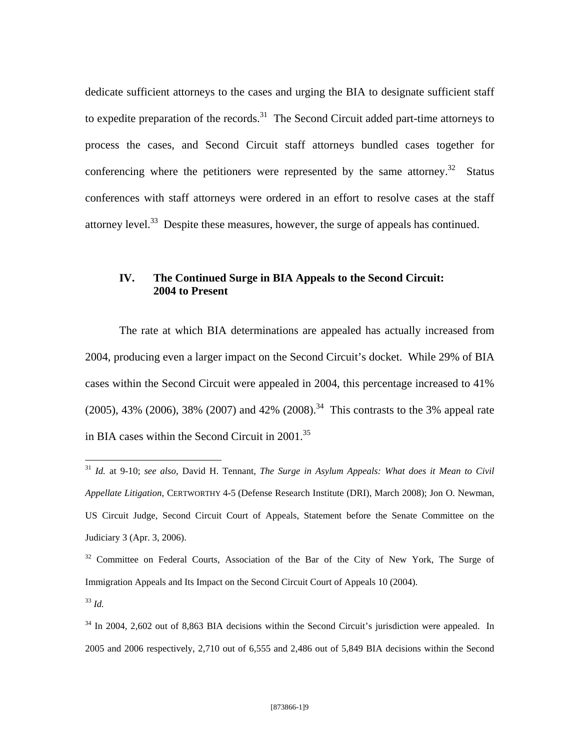dedicate sufficient attorneys to the cases and urging the BIA to designate sufficient staff to expedite preparation of the records.<sup>31</sup> The Second Circuit added part-time attorneys to process the cases, and Second Circuit staff attorneys bundled cases together for conferencing where the petitioners were represented by the same attorney.<sup>32</sup> Status conferences with staff attorneys were ordered in an effort to resolve cases at the staff attorney level.<sup>33</sup> Despite these measures, however, the surge of appeals has continued.

## **IV. The Continued Surge in BIA Appeals to the Second Circuit: 2004 to Present**

The rate at which BIA determinations are appealed has actually increased from 2004, producing even a larger impact on the Second Circuit's docket. While 29% of BIA cases within the Second Circuit were appealed in 2004, this percentage increased to 41%  $(2005)$ , 43%  $(2006)$ , 38%  $(2007)$  and 42%  $(2008)$ .<sup>34</sup> This contrasts to the 3% appeal rate in BIA cases within the Second Circuit in 2001.<sup>35</sup>

<sup>31</sup> *Id.* at 9-10; *see also*, David H. Tennant, *The Surge in Asylum Appeals: What does it Mean to Civil Appellate Litigation*, CERTWORTHY 4-5 (Defense Research Institute (DRI), March 2008); Jon O. Newman, US Circuit Judge, Second Circuit Court of Appeals, Statement before the Senate Committee on the Judiciary 3 (Apr. 3, 2006).

<sup>&</sup>lt;sup>32</sup> Committee on Federal Courts, Association of the Bar of the City of New York, The Surge of Immigration Appeals and Its Impact on the Second Circuit Court of Appeals 10 (2004).

<sup>33</sup> *Id.*

<sup>&</sup>lt;sup>34</sup> In 2004, 2,602 out of 8,863 BIA decisions within the Second Circuit's jurisdiction were appealed. In 2005 and 2006 respectively, 2,710 out of 6,555 and 2,486 out of 5,849 BIA decisions within the Second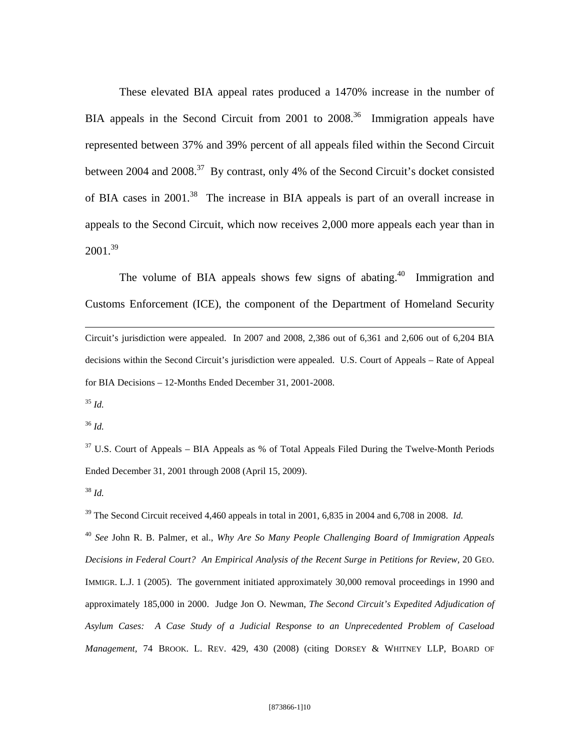These elevated BIA appeal rates produced a 1470% increase in the number of BIA appeals in the Second Circuit from 2001 to  $2008<sup>36</sup>$  Immigration appeals have represented between 37% and 39% percent of all appeals filed within the Second Circuit between 2004 and 2008.<sup>37</sup> By contrast, only 4% of the Second Circuit's docket consisted of BIA cases in 2001.38 The increase in BIA appeals is part of an overall increase in appeals to the Second Circuit, which now receives 2,000 more appeals each year than in  $2001.<sup>39</sup>$ 

The volume of BIA appeals shows few signs of abating.<sup>40</sup> Immigration and Customs Enforcement (ICE), the component of the Department of Homeland Security  $\overline{a}$ Circuit's jurisdiction were appealed. In 2007 and 2008, 2,386 out of 6,361 and 2,606 out of 6,204 BIA decisions within the Second Circuit's jurisdiction were appealed. U.S. Court of Appeals – Rate of Appeal for BIA Decisions – 12-Months Ended December 31, 2001-2008.

 $35$  *Id.* 

<sup>36</sup> *Id.*

 $37 \text{ U.S.}$  Court of Appeals – BIA Appeals as % of Total Appeals Filed During the Twelve-Month Periods Ended December 31, 2001 through 2008 (April 15, 2009).

<sup>38</sup> *Id.*

<sup>39</sup> The Second Circuit received 4,460 appeals in total in 2001, 6,835 in 2004 and 6,708 in 2008. *Id.* 

<sup>40</sup> *See* John R. B. Palmer, et al., *Why Are So Many People Challenging Board of Immigration Appeals Decisions in Federal Court? An Empirical Analysis of the Recent Surge in Petitions for Review,* 20 GEO. IMMIGR. L.J. 1 (2005). The government initiated approximately 30,000 removal proceedings in 1990 and approximately 185,000 in 2000. Judge Jon O. Newman, *The Second Circuit's Expedited Adjudication of Asylum Cases: A Case Study of a Judicial Response to an Unprecedented Problem of Caseload Management,* 74 BROOK. L. REV. 429, 430 (2008) (citing DORSEY & WHITNEY LLP, BOARD OF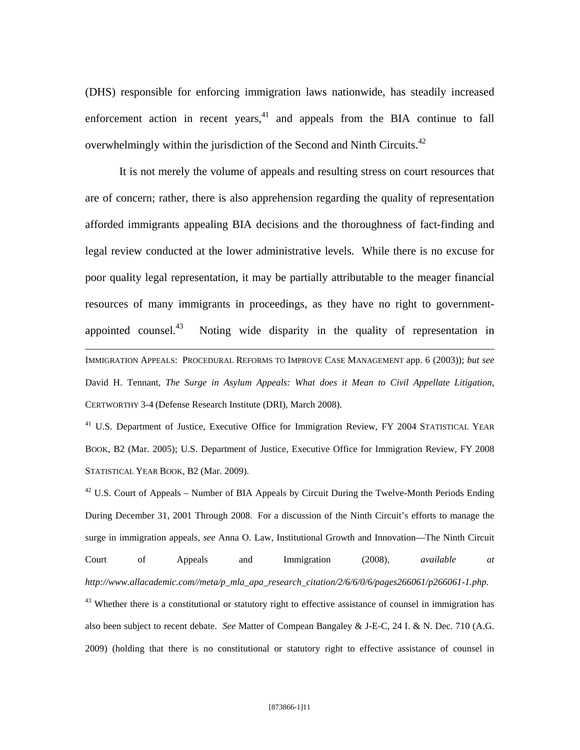(DHS) responsible for enforcing immigration laws nationwide, has steadily increased enforcement action in recent years, $41$  and appeals from the BIA continue to fall overwhelmingly within the jurisdiction of the Second and Ninth Circuits.<sup>42</sup>

It is not merely the volume of appeals and resulting stress on court resources that are of concern; rather, there is also apprehension regarding the quality of representation afforded immigrants appealing BIA decisions and the thoroughness of fact-finding and legal review conducted at the lower administrative levels. While there is no excuse for poor quality legal representation, it may be partially attributable to the meager financial resources of many immigrants in proceedings, as they have no right to governmentappointed counsel. $43$  Noting wide disparity in the quality of representation in  $\overline{a}$ IMMIGRATION APPEALS: PROCEDURAL REFORMS TO IMPROVE CASE MANAGEMENT app. 6 (2003)); *but see*  David H. Tennant, *The Surge in Asylum Appeals: What does it Mean to Civil Appellate Litigation*, CERTWORTHY 3-4 (Defense Research Institute (DRI), March 2008).

<sup>41</sup> U.S. Department of Justice, Executive Office for Immigration Review, FY 2004 STATISTICAL YEAR BOOK, B2 (Mar. 2005); U.S. Department of Justice, Executive Office for Immigration Review, FY 2008 STATISTICAL YEAR BOOK, B2 (Mar. 2009).

 $^{42}$  U.S. Court of Appeals – Number of BIA Appeals by Circuit During the Twelve-Month Periods Ending During December 31, 2001 Through 2008. For a discussion of the Ninth Circuit's efforts to manage the surge in immigration appeals, *see* Anna O. Law, Institutional Growth and Innovation—The Ninth Circuit Court of Appeals and Immigration (2008), *available at http://www.allacademic.com//meta/p\_mla\_apa\_research\_citation/2/6/6/0/6/pages266061/p266061-1.php.* <sup>43</sup> Whether there is a constitutional or statutory right to effective assistance of counsel in immigration has also been subject to recent debate. *See* Matter of Compean Bangaley & J-E-C*,* 24 I. & N. Dec. 710 (A.G. 2009) (holding that there is no constitutional or statutory right to effective assistance of counsel in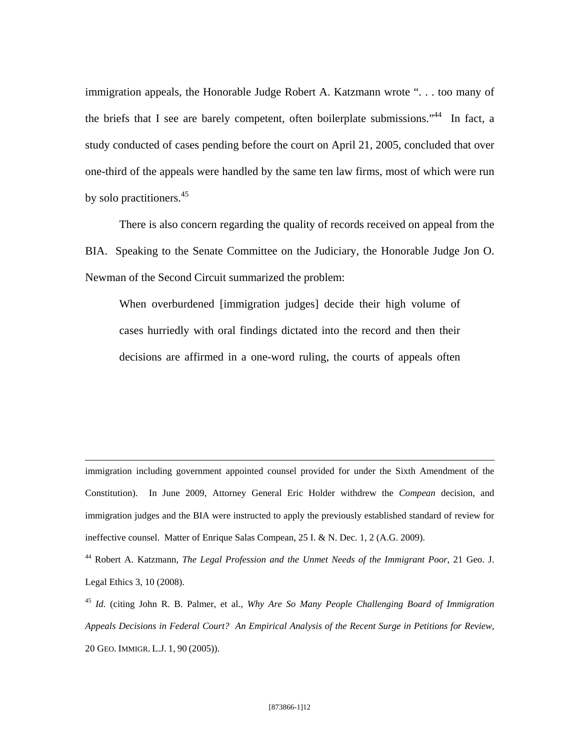immigration appeals, the Honorable Judge Robert A. Katzmann wrote ". . . too many of the briefs that I see are barely competent, often boilerplate submissions."<sup>44</sup> In fact, a study conducted of cases pending before the court on April 21, 2005, concluded that over one-third of the appeals were handled by the same ten law firms, most of which were run by solo practitioners.<sup>45</sup>

There is also concern regarding the quality of records received on appeal from the BIA. Speaking to the Senate Committee on the Judiciary, the Honorable Judge Jon O. Newman of the Second Circuit summarized the problem:

When overburdened [immigration judges] decide their high volume of cases hurriedly with oral findings dictated into the record and then their decisions are affirmed in a one-word ruling, the courts of appeals often

immigration including government appointed counsel provided for under the Sixth Amendment of the Constitution). In June 2009, Attorney General Eric Holder withdrew the *Compean* decision, and immigration judges and the BIA were instructed to apply the previously established standard of review for ineffective counsel. Matter of Enrique Salas Compean, 25 I. & N. Dec. 1, 2 (A.G. 2009).

 $\overline{a}$ 

44 Robert A. Katzmann, *The Legal Profession and the Unmet Needs of the Immigrant Poor*, 21 Geo. J. Legal Ethics 3, 10 (2008).

<sup>45</sup> *Id.* (citing John R. B. Palmer, et al., *Why Are So Many People Challenging Board of Immigration Appeals Decisions in Federal Court? An Empirical Analysis of the Recent Surge in Petitions for Review,*  20 GEO. IMMIGR. L.J. 1, 90 (2005)).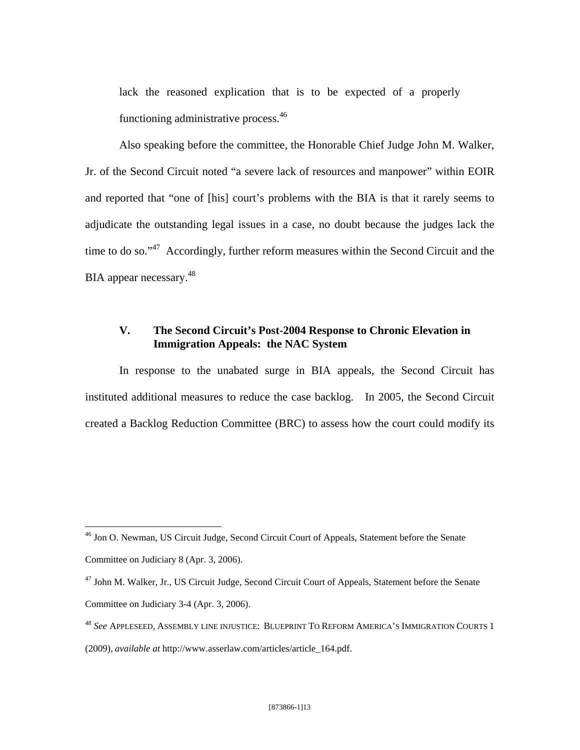lack the reasoned explication that is to be expected of a properly functioning administrative process.<sup>46</sup>

Also speaking before the committee, the Honorable Chief Judge John M. Walker, Jr. of the Second Circuit noted "a severe lack of resources and manpower" within EOIR and reported that "one of [his] court's problems with the BIA is that it rarely seems to adjudicate the outstanding legal issues in a case, no doubt because the judges lack the time to do so."<sup>47</sup> Accordingly, further reform measures within the Second Circuit and the BIA appear necessary.<sup>48</sup>

# **V. The Second Circuit's Post-2004 Response to Chronic Elevation in Immigration Appeals: the NAC System**

In response to the unabated surge in BIA appeals, the Second Circuit has instituted additional measures to reduce the case backlog. In 2005, the Second Circuit created a Backlog Reduction Committee (BRC) to assess how the court could modify its

1

<sup>&</sup>lt;sup>46</sup> Jon O. Newman, US Circuit Judge, Second Circuit Court of Appeals, Statement before the Senate

Committee on Judiciary 8 (Apr. 3, 2006).

<sup>&</sup>lt;sup>47</sup> John M. Walker, Jr., US Circuit Judge, Second Circuit Court of Appeals, Statement before the Senate Committee on Judiciary 3-4 (Apr. 3, 2006).

<sup>48</sup> *See* APPLESEED, ASSEMBLY LINE INJUSTICE: BLUEPRINT TO REFORM AMERICA'S IMMIGRATION COURTS 1 (2009), *available at* http://www.asserlaw.com/articles/article\_164.pdf.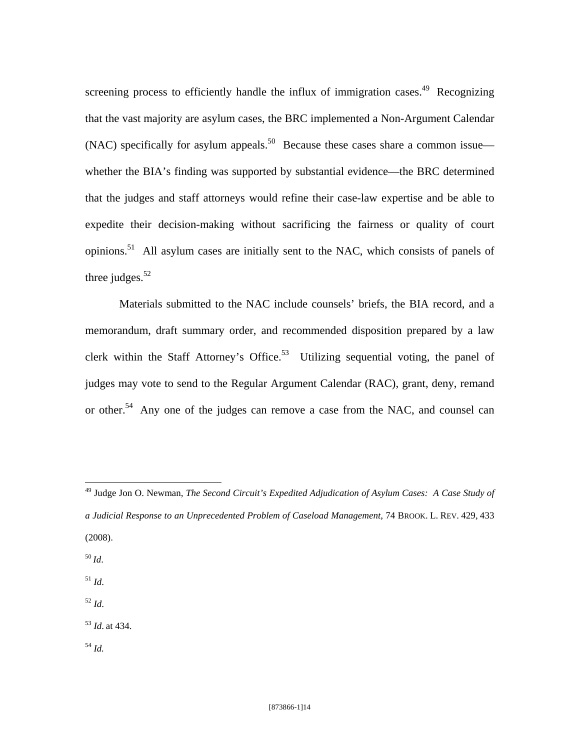screening process to efficiently handle the influx of immigration cases.<sup>49</sup> Recognizing that the vast majority are asylum cases, the BRC implemented a Non-Argument Calendar (NAC) specifically for asylum appeals.<sup>50</sup> Because these cases share a common issue whether the BIA's finding was supported by substantial evidence—the BRC determined that the judges and staff attorneys would refine their case-law expertise and be able to expedite their decision-making without sacrificing the fairness or quality of court opinions.51 All asylum cases are initially sent to the NAC, which consists of panels of three judges. $52$ 

Materials submitted to the NAC include counsels' briefs, the BIA record, and a memorandum, draft summary order, and recommended disposition prepared by a law clerk within the Staff Attorney's Office.<sup>53</sup> Utilizing sequential voting, the panel of judges may vote to send to the Regular Argument Calendar (RAC), grant, deny, remand or other.<sup>54</sup> Any one of the judges can remove a case from the NAC, and counsel can

<sup>50</sup> *Id*.

 $\overline{a}$ 

<sup>51</sup> *Id*.

<sup>52</sup> *Id*.

<sup>53</sup> *Id*. at 434.

<sup>54</sup> *Id.*

<sup>49</sup> Judge Jon O. Newman, *The Second Circuit's Expedited Adjudication of Asylum Cases: A Case Study of a Judicial Response to an Unprecedented Problem of Caseload Management,* 74 BROOK. L. REV. 429, 433 (2008).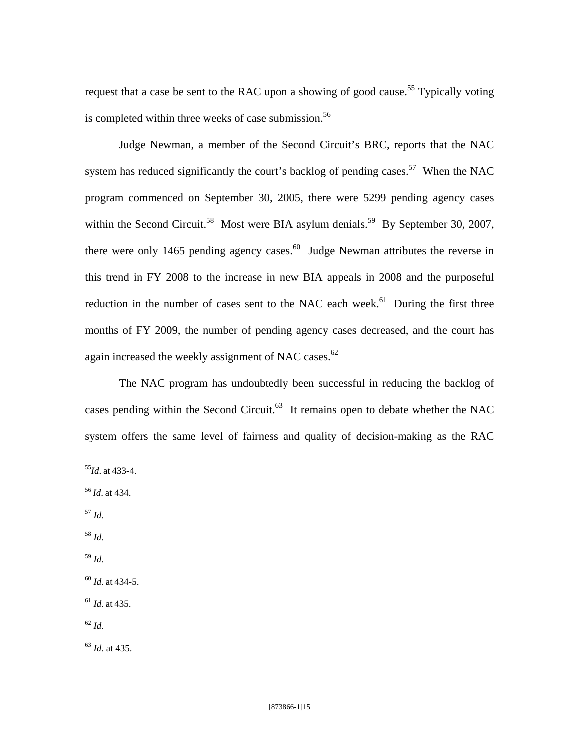request that a case be sent to the RAC upon a showing of good cause.<sup>55</sup> Typically voting is completed within three weeks of case submission.<sup>56</sup>

Judge Newman, a member of the Second Circuit's BRC, reports that the NAC system has reduced significantly the court's backlog of pending cases.<sup>57</sup> When the NAC program commenced on September 30, 2005, there were 5299 pending agency cases within the Second Circuit.<sup>58</sup> Most were BIA asylum denials.<sup>59</sup> By September 30, 2007, there were only 1465 pending agency cases.<sup>60</sup> Judge Newman attributes the reverse in this trend in FY 2008 to the increase in new BIA appeals in 2008 and the purposeful reduction in the number of cases sent to the NAC each week.<sup>61</sup> During the first three months of FY 2009, the number of pending agency cases decreased, and the court has again increased the weekly assignment of NAC cases.<sup>62</sup>

The NAC program has undoubtedly been successful in reducing the backlog of cases pending within the Second Circuit. $63$  It remains open to debate whether the NAC system offers the same level of fairness and quality of decision-making as the RAC

<sup>57</sup> *Id.* 

 $\overline{a}$ 

<sup>58</sup> *Id.*

<sup>59</sup> *Id.*

<sup>60</sup> *Id*. at 434-5.

<sup>61</sup> *Id*. at 435.

<sup>62</sup> *Id.*

<sup>63</sup> *Id.* at 435.

<sup>55</sup>*Id*. at 433-4.

<sup>56</sup> *Id*. at 434.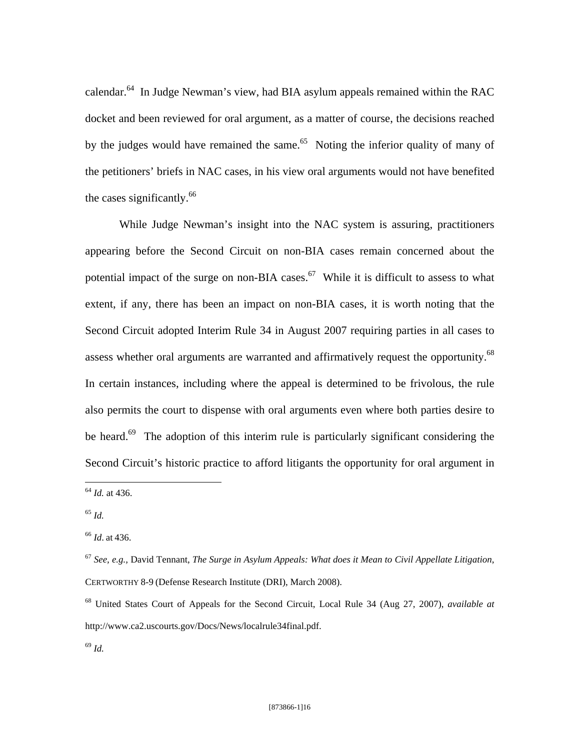calendar.64 In Judge Newman's view, had BIA asylum appeals remained within the RAC docket and been reviewed for oral argument, as a matter of course, the decisions reached by the judges would have remained the same.<sup>65</sup> Noting the inferior quality of many of the petitioners' briefs in NAC cases, in his view oral arguments would not have benefited the cases significantly. $^{66}$ 

While Judge Newman's insight into the NAC system is assuring, practitioners appearing before the Second Circuit on non-BIA cases remain concerned about the potential impact of the surge on non-BIA cases.<sup>67</sup> While it is difficult to assess to what extent, if any, there has been an impact on non-BIA cases, it is worth noting that the Second Circuit adopted Interim Rule 34 in August 2007 requiring parties in all cases to assess whether oral arguments are warranted and affirmatively request the opportunity.<sup>68</sup> In certain instances, including where the appeal is determined to be frivolous, the rule also permits the court to dispense with oral arguments even where both parties desire to be heard.<sup>69</sup> The adoption of this interim rule is particularly significant considering the Second Circuit's historic practice to afford litigants the opportunity for oral argument in

1

<sup>64</sup> *Id.* at 436.

<sup>65</sup> *Id.*

<sup>66</sup> *Id*. at 436.

<sup>67</sup> *See, e.g.,* David Tennant, *The Surge in Asylum Appeals: What does it Mean to Civil Appellate Litigation*, CERTWORTHY 8-9 (Defense Research Institute (DRI), March 2008).

<sup>68</sup> United States Court of Appeals for the Second Circuit, Local Rule 34 (Aug 27, 2007), *available at*  http://www.ca2.uscourts.gov/Docs/News/localrule34final.pdf.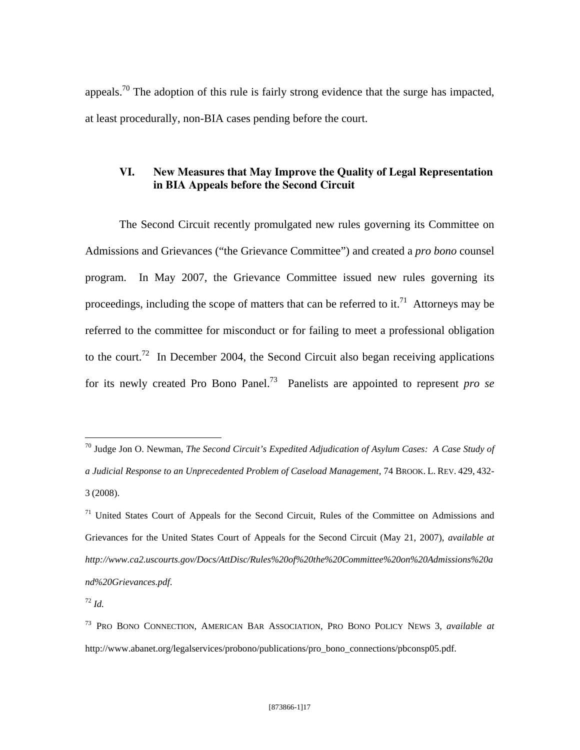appeals.<sup>70</sup> The adoption of this rule is fairly strong evidence that the surge has impacted, at least procedurally, non-BIA cases pending before the court.

# **VI. New Measures that May Improve the Quality of Legal Representation in BIA Appeals before the Second Circuit**

The Second Circuit recently promulgated new rules governing its Committee on Admissions and Grievances ("the Grievance Committee") and created a *pro bono* counsel program. In May 2007, the Grievance Committee issued new rules governing its proceedings, including the scope of matters that can be referred to it.<sup>71</sup> Attorneys may be referred to the committee for misconduct or for failing to meet a professional obligation to the court.<sup>72</sup> In December 2004, the Second Circuit also began receiving applications for its newly created Pro Bono Panel.73 Panelists are appointed to represent *pro se* 

<u>.</u>

<sup>70</sup> Judge Jon O. Newman, *The Second Circuit's Expedited Adjudication of Asylum Cases: A Case Study of a Judicial Response to an Unprecedented Problem of Caseload Management,* 74 BROOK. L. REV. 429, 432- 3 (2008).

 $71$  United States Court of Appeals for the Second Circuit, Rules of the Committee on Admissions and Grievances for the United States Court of Appeals for the Second Circuit (May 21, 2007), *available at http://www.ca2.uscourts.gov/Docs/AttDisc/Rules%20of%20the%20Committee%20on%20Admissions%20a nd%20Grievances.pdf*.

 $72 \; Id.$ 

<sup>73</sup> PRO BONO CONNECTION, AMERICAN BAR ASSOCIATION, PRO BONO POLICY NEWS 3, *available at*  http://www.abanet.org/legalservices/probono/publications/pro\_bono\_connections/pbconsp05.pdf.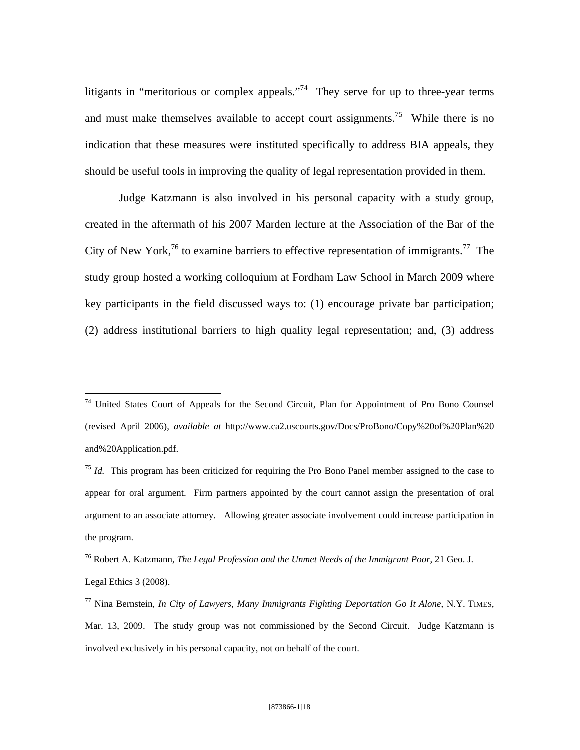litigants in "meritorious or complex appeals."<sup>74</sup> They serve for up to three-year terms and must make themselves available to accept court assignments.<sup>75</sup> While there is no indication that these measures were instituted specifically to address BIA appeals, they should be useful tools in improving the quality of legal representation provided in them.

Judge Katzmann is also involved in his personal capacity with a study group, created in the aftermath of his 2007 Marden lecture at the Association of the Bar of the City of New York,76 to examine barriers to effective representation of immigrants.77The study group hosted a working colloquium at Fordham Law School in March 2009 where key participants in the field discussed ways to: (1) encourage private bar participation; (2) address institutional barriers to high quality legal representation; and, (3) address

<u>.</u>

<sup>&</sup>lt;sup>74</sup> United States Court of Appeals for the Second Circuit, Plan for Appointment of Pro Bono Counsel (revised April 2006), *available at* http://www.ca2.uscourts.gov/Docs/ProBono/Copy%20of%20Plan%20 and%20Application.pdf.

<sup>75</sup> *Id.* This program has been criticized for requiring the Pro Bono Panel member assigned to the case to appear for oral argument. Firm partners appointed by the court cannot assign the presentation of oral argument to an associate attorney. Allowing greater associate involvement could increase participation in the program.

<sup>76</sup> Robert A. Katzmann, *The Legal Profession and the Unmet Needs of the Immigrant Poor*, 21 Geo. J. Legal Ethics 3 (2008).

<sup>77</sup> Nina Bernstein, *In City of Lawyers, Many Immigrants Fighting Deportation Go It Alone*, N.Y. TIMES, Mar. 13, 2009. The study group was not commissioned by the Second Circuit. Judge Katzmann is involved exclusively in his personal capacity, not on behalf of the court.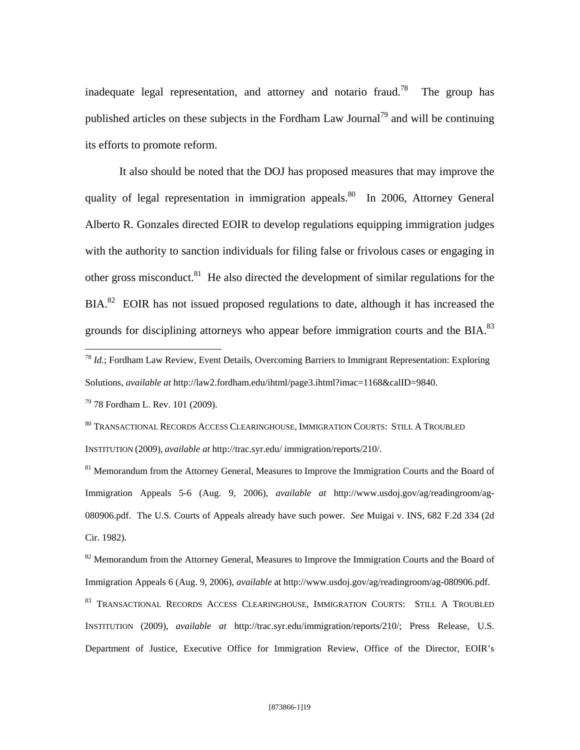inadequate legal representation, and attorney and notario fraud.<sup>78</sup> The group has published articles on these subjects in the Fordham Law Journal<sup>79</sup> and will be continuing its efforts to promote reform.

It also should be noted that the DOJ has proposed measures that may improve the quality of legal representation in immigration appeals.<sup>80</sup> In 2006, Attorney General Alberto R. Gonzales directed EOIR to develop regulations equipping immigration judges with the authority to sanction individuals for filing false or frivolous cases or engaging in other gross misconduct.<sup>81</sup> He also directed the development of similar regulations for the  $BIA.<sup>82</sup>$  EOIR has not issued proposed regulations to date, although it has increased the grounds for disciplining attorneys who appear before immigration courts and the BIA.<sup>83</sup>

79 78 Fordham L. Rev. 101 (2009).

1

80 TRANSACTIONAL RECORDS ACCESS CLEARINGHOUSE, IMMIGRATION COURTS: STILL A TROUBLED INSTITUTION (2009), *available at* http://trac.syr.edu/ immigration/reports/210/.

<sup>81</sup> Memorandum from the Attorney General, Measures to Improve the Immigration Courts and the Board of Immigration Appeals 5-6 (Aug. 9, 2006), *available at* http://www.usdoj.gov/ag/readingroom/ag-080906.pdf. The U.S. Courts of Appeals already have such power. *See* Muigai v. INS, 682 F.2d 334 (2d Cir. 1982).

<sup>82</sup> Memorandum from the Attorney General, Measures to Improve the Immigration Courts and the Board of Immigration Appeals 6 (Aug. 9, 2006), *available* at http://www.usdoj.gov/ag/readingroom/ag-080906.pdf.

83 TRANSACTIONAL RECORDS ACCESS CLEARINGHOUSE, IMMIGRATION COURTS: STILL A TROUBLED INSTITUTION (2009), *available at* http://trac.syr.edu/immigration/reports/210/; Press Release, U.S. Department of Justice, Executive Office for Immigration Review, Office of the Director, EOIR's

<sup>78</sup> *Id.*; Fordham Law Review, Event Details, Overcoming Barriers to Immigrant Representation: Exploring Solutions, *available at* http://law2.fordham.edu/ihtml/page3.ihtml?imac=1168&calID=9840.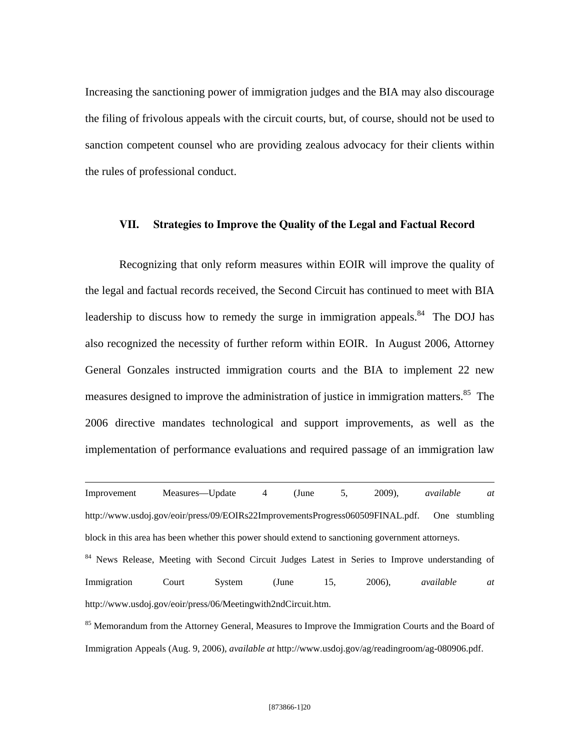Increasing the sanctioning power of immigration judges and the BIA may also discourage the filing of frivolous appeals with the circuit courts, but, of course, should not be used to sanction competent counsel who are providing zealous advocacy for their clients within the rules of professional conduct.

### **VII. Strategies to Improve the Quality of the Legal and Factual Record**

Recognizing that only reform measures within EOIR will improve the quality of the legal and factual records received, the Second Circuit has continued to meet with BIA leadership to discuss how to remedy the surge in immigration appeals.<sup>84</sup> The DOJ has also recognized the necessity of further reform within EOIR. In August 2006, Attorney General Gonzales instructed immigration courts and the BIA to implement 22 new measures designed to improve the administration of justice in immigration matters.<sup>85</sup> The 2006 directive mandates technological and support improvements, as well as the implementation of performance evaluations and required passage of an immigration law

Improvement Measures—Update 4 (June 5, 2009), *available at*  http://www.usdoj.gov/eoir/press/09/EOIRs22ImprovementsProgress060509FINAL.pdf. One stumbling block in this area has been whether this power should extend to sanctioning government attorneys.

1

<sup>84</sup> News Release, Meeting with Second Circuit Judges Latest in Series to Improve understanding of Immigration Court System (June 15, 2006), *available at*  http://www.usdoj.gov/eoir/press/06/Meetingwith2ndCircuit.htm.

<sup>85</sup> Memorandum from the Attorney General, Measures to Improve the Immigration Courts and the Board of Immigration Appeals (Aug. 9, 2006), *available at* http://www.usdoj.gov/ag/readingroom/ag-080906.pdf.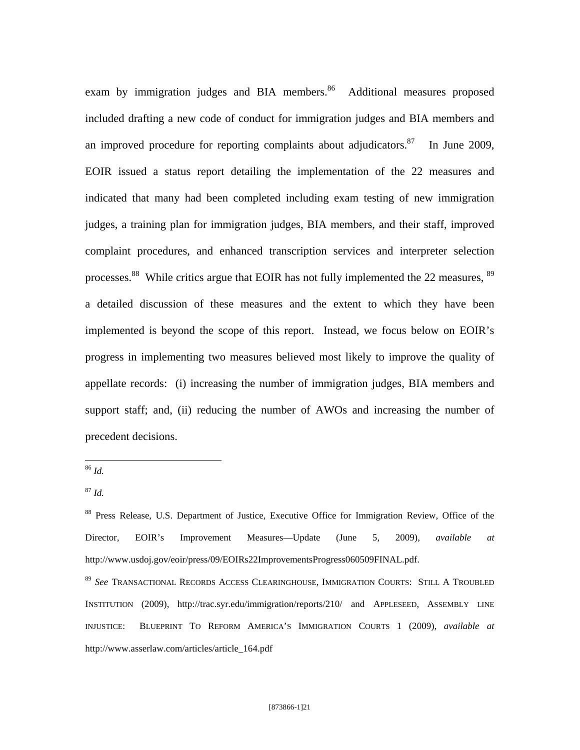exam by immigration judges and BIA members.<sup>86</sup> Additional measures proposed included drafting a new code of conduct for immigration judges and BIA members and an improved procedure for reporting complaints about adjudicators. $87$  In June 2009, EOIR issued a status report detailing the implementation of the 22 measures and indicated that many had been completed including exam testing of new immigration judges, a training plan for immigration judges, BIA members, and their staff, improved complaint procedures, and enhanced transcription services and interpreter selection processes.<sup>88</sup> While critics argue that EOIR has not fully implemented the 22 measures, <sup>89</sup> a detailed discussion of these measures and the extent to which they have been implemented is beyond the scope of this report. Instead, we focus below on EOIR's progress in implementing two measures believed most likely to improve the quality of appellate records: (i) increasing the number of immigration judges, BIA members and support staff; and, (ii) reducing the number of AWOs and increasing the number of precedent decisions.

1

<sup>86</sup> *Id.*

<sup>87</sup> *Id.*

<sup>&</sup>lt;sup>88</sup> Press Release, U.S. Department of Justice, Executive Office for Immigration Review, Office of the Director, EOIR's Improvement Measures—Update (June 5, 2009), *available at*  http://www.usdoj.gov/eoir/press/09/EOIRs22ImprovementsProgress060509FINAL.pdf.

<sup>89</sup> *See* TRANSACTIONAL RECORDS ACCESS CLEARINGHOUSE, IMMIGRATION COURTS: STILL A TROUBLED INSTITUTION (2009), http://trac.syr.edu/immigration/reports/210/ and APPLESEED, ASSEMBLY LINE INJUSTICE: BLUEPRINT TO REFORM AMERICA'S IMMIGRATION COURTS 1 (2009), *available at*  http://www.asserlaw.com/articles/article\_164.pdf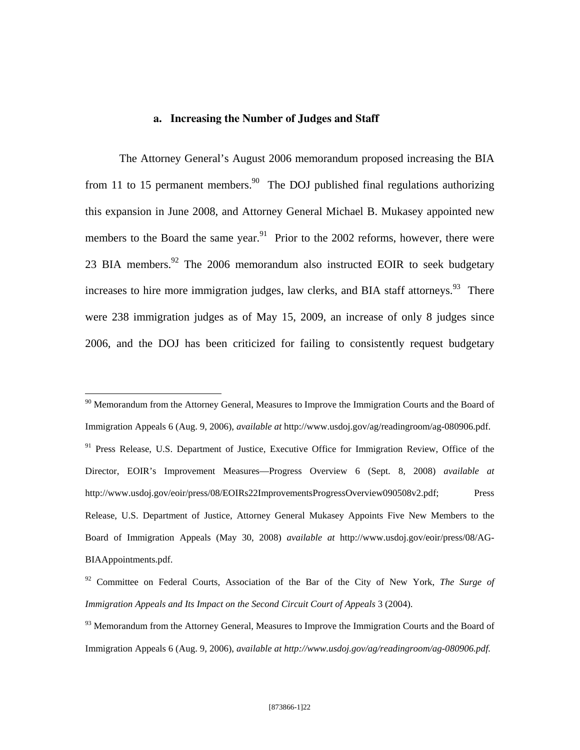### **a. Increasing the Number of Judges and Staff**

The Attorney General's August 2006 memorandum proposed increasing the BIA from 11 to 15 permanent members.<sup>90</sup> The DOJ published final regulations authorizing this expansion in June 2008, and Attorney General Michael B. Mukasey appointed new members to the Board the same year.<sup>91</sup> Prior to the 2002 reforms, however, there were 23 BIA members. <sup>92</sup> The 2006 memorandum also instructed EOIR to seek budgetary increases to hire more immigration judges, law clerks, and BIA staff attorneys.<sup>93</sup> There were 238 immigration judges as of May 15, 2009, an increase of only 8 judges since 2006, and the DOJ has been criticized for failing to consistently request budgetary

<u>.</u>

 $90$  Memorandum from the Attorney General, Measures to Improve the Immigration Courts and the Board of Immigration Appeals 6 (Aug. 9, 2006), *available at* http://www.usdoj.gov/ag/readingroom/ag-080906.pdf. <sup>91</sup> Press Release, U.S. Department of Justice, Executive Office for Immigration Review, Office of the Director, EOIR's Improvement Measures—Progress Overview 6 (Sept. 8, 2008) *available at*  http://www.usdoj.gov/eoir/press/08/EOIRs22ImprovementsProgressOverview090508v2.pdf; Press Release, U.S. Department of Justice, Attorney General Mukasey Appoints Five New Members to the Board of Immigration Appeals (May 30, 2008) *available at* http://www.usdoj.gov/eoir/press/08/AG-BIAAppointments.pdf.

<sup>92</sup> Committee on Federal Courts, Association of the Bar of the City of New York, *The Surge of Immigration Appeals and Its Impact on the Second Circuit Court of Appeals* 3 (2004).

<sup>&</sup>lt;sup>93</sup> Memorandum from the Attorney General, Measures to Improve the Immigration Courts and the Board of Immigration Appeals 6 (Aug. 9, 2006), *available at http://www.usdoj.gov/ag/readingroom/ag-080906.pdf.*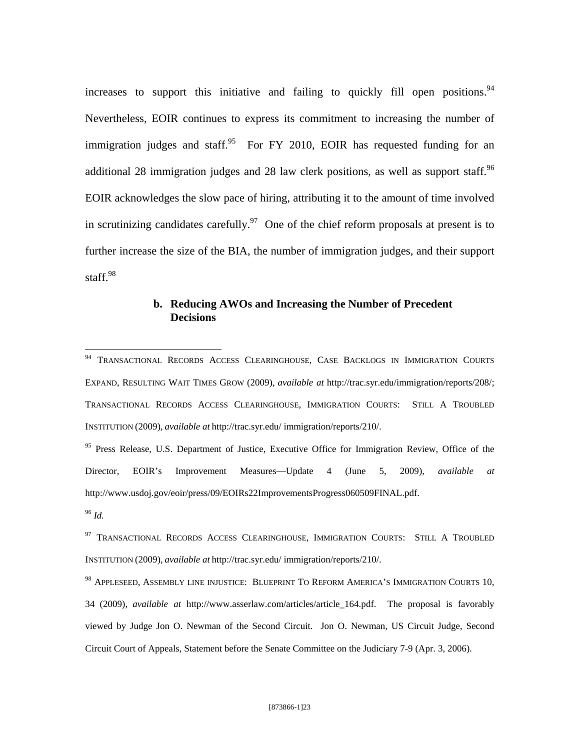increases to support this initiative and failing to quickly fill open positions.  $94$ Nevertheless, EOIR continues to express its commitment to increasing the number of immigration judges and staff.<sup>95</sup> For FY 2010, EOIR has requested funding for an additional 28 immigration judges and 28 law clerk positions, as well as support staff.<sup>96</sup> EOIR acknowledges the slow pace of hiring, attributing it to the amount of time involved in scrutinizing candidates carefully.<sup>97</sup> One of the chief reform proposals at present is to further increase the size of the BIA, the number of immigration judges, and their support staff.<sup>98</sup>

## **b. Reducing AWOs and Increasing the Number of Precedent Decisions**

<sup>&</sup>lt;sup>94</sup> TRANSACTIONAL RECORDS ACCESS CLEARINGHOUSE, CASE BACKLOGS IN IMMIGRATION COURTS EXPAND, RESULTING WAIT TIMES GROW (2009), *available at* http://trac.syr.edu/immigration/reports/208/; TRANSACTIONAL RECORDS ACCESS CLEARINGHOUSE, IMMIGRATION COURTS: STILL A TROUBLED INSTITUTION (2009), *available at* http://trac.syr.edu/ immigration/reports/210/.

<sup>&</sup>lt;sup>95</sup> Press Release, U.S. Department of Justice, Executive Office for Immigration Review, Office of the Director, EOIR's Improvement Measures—Update 4 (June 5, 2009), *available at*  http://www.usdoj.gov/eoir/press/09/EOIRs22ImprovementsProgress060509FINAL.pdf.

<sup>96</sup> *Id.*

<sup>&</sup>lt;sup>97</sup> TRANSACTIONAL RECORDS ACCESS CLEARINGHOUSE, IMMIGRATION COURTS: STILL A TROUBLED INSTITUTION (2009), *available at* http://trac.syr.edu/ immigration/reports/210/.

<sup>&</sup>lt;sup>98</sup> APPLESEED, ASSEMBLY LINE INJUSTICE: BLUEPRINT TO REFORM AMERICA'S IMMIGRATION COURTS 10, 34 (2009), *available at* http://www.asserlaw.com/articles/article\_164.pdf. The proposal is favorably viewed by Judge Jon O. Newman of the Second Circuit. Jon O. Newman, US Circuit Judge, Second Circuit Court of Appeals, Statement before the Senate Committee on the Judiciary 7-9 (Apr. 3, 2006).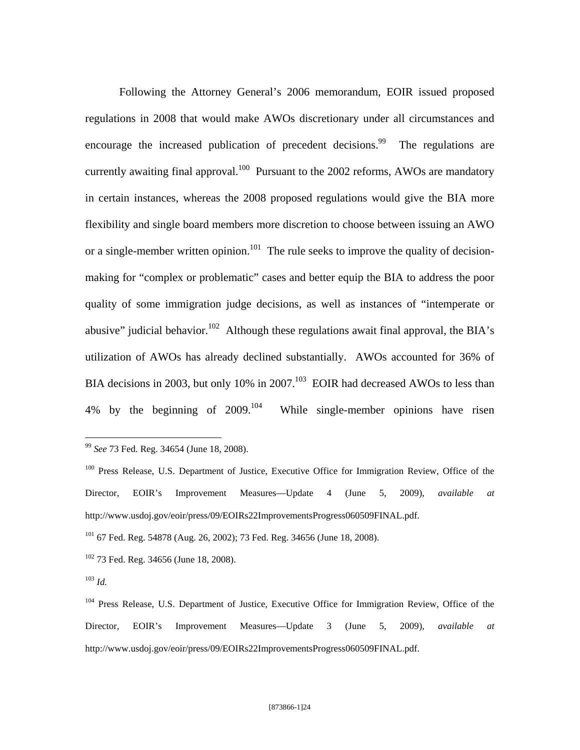Following the Attorney General's 2006 memorandum, EOIR issued proposed regulations in 2008 that would make AWOs discretionary under all circumstances and encourage the increased publication of precedent decisions.<sup>99</sup> The regulations are currently awaiting final approval.<sup>100</sup> Pursuant to the 2002 reforms, AWOs are mandatory in certain instances, whereas the 2008 proposed regulations would give the BIA more flexibility and single board members more discretion to choose between issuing an AWO or a single-member written opinion.<sup>101</sup> The rule seeks to improve the quality of decisionmaking for "complex or problematic" cases and better equip the BIA to address the poor quality of some immigration judge decisions, as well as instances of "intemperate or abusive" judicial behavior.<sup>102</sup> Although these regulations await final approval, the BIA's utilization of AWOs has already declined substantially. AWOs accounted for 36% of BIA decisions in 2003, but only 10% in 2007.<sup>103</sup> EOIR had decreased AWOs to less than 4% by the beginning of  $2009$ <sup>104</sup> While single-member opinions have risen

<sup>99</sup> *See* 73 Fed. Reg. 34654 (June 18, 2008).

<sup>&</sup>lt;sup>100</sup> Press Release, U.S. Department of Justice, Executive Office for Immigration Review, Office of the Director, EOIR's Improvement Measures—Update 4 (June 5, 2009), *available at*  http://www.usdoj.gov/eoir/press/09/EOIRs22ImprovementsProgress060509FINAL.pdf.

<sup>101 67</sup> Fed. Reg. 54878 (Aug. 26, 2002); 73 Fed. Reg. 34656 (June 18, 2008).

<sup>&</sup>lt;sup>102</sup> 73 Fed. Reg. 34656 (June 18, 2008).

<sup>103</sup> *Id.*

<sup>104</sup> Press Release, U.S. Department of Justice, Executive Office for Immigration Review, Office of the Director, EOIR's Improvement Measures—Update 3 (June 5, 2009), *available at*  http://www.usdoj.gov/eoir/press/09/EOIRs22ImprovementsProgress060509FINAL.pdf.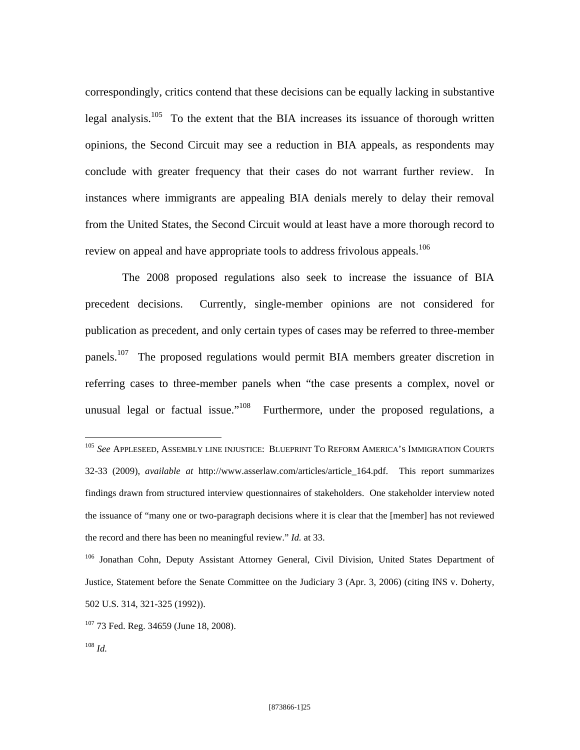correspondingly, critics contend that these decisions can be equally lacking in substantive legal analysis.<sup>105</sup> To the extent that the BIA increases its issuance of thorough written opinions, the Second Circuit may see a reduction in BIA appeals, as respondents may conclude with greater frequency that their cases do not warrant further review. In instances where immigrants are appealing BIA denials merely to delay their removal from the United States, the Second Circuit would at least have a more thorough record to review on appeal and have appropriate tools to address frivolous appeals.<sup>106</sup>

The 2008 proposed regulations also seek to increase the issuance of BIA precedent decisions. Currently, single-member opinions are not considered for publication as precedent, and only certain types of cases may be referred to three-member panels.107 The proposed regulations would permit BIA members greater discretion in referring cases to three-member panels when "the case presents a complex, novel or unusual legal or factual issue."<sup>108</sup> Furthermore, under the proposed regulations, a

<sup>105</sup> *See* APPLESEED, ASSEMBLY LINE INJUSTICE: BLUEPRINT TO REFORM AMERICA'S IMMIGRATION COURTS 32-33 (2009), *available at* http://www.asserlaw.com/articles/article\_164.pdf. This report summarizes findings drawn from structured interview questionnaires of stakeholders. One stakeholder interview noted the issuance of "many one or two-paragraph decisions where it is clear that the [member] has not reviewed the record and there has been no meaningful review." *Id.* at 33.

<sup>106</sup> Jonathan Cohn, Deputy Assistant Attorney General, Civil Division, United States Department of Justice, Statement before the Senate Committee on the Judiciary 3 (Apr. 3, 2006) (citing INS v. Doherty, 502 U.S. 314, 321-325 (1992)).

<sup>&</sup>lt;sup>107</sup> 73 Fed. Reg. 34659 (June 18, 2008).

<sup>108</sup> *Id.*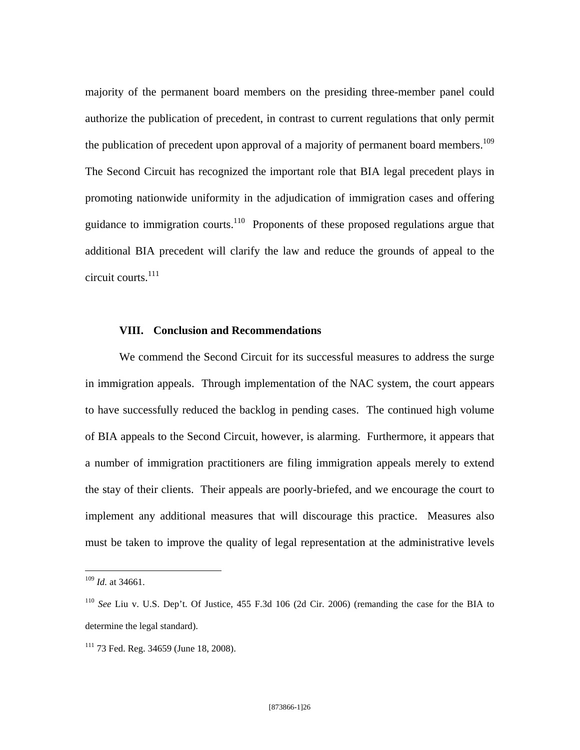majority of the permanent board members on the presiding three-member panel could authorize the publication of precedent, in contrast to current regulations that only permit the publication of precedent upon approval of a majority of permanent board members.<sup>109</sup> The Second Circuit has recognized the important role that BIA legal precedent plays in promoting nationwide uniformity in the adjudication of immigration cases and offering guidance to immigration courts.<sup>110</sup> Proponents of these proposed regulations argue that additional BIA precedent will clarify the law and reduce the grounds of appeal to the circuit courts. $111$ 

### **VIII. Conclusion and Recommendations**

We commend the Second Circuit for its successful measures to address the surge in immigration appeals. Through implementation of the NAC system, the court appears to have successfully reduced the backlog in pending cases. The continued high volume of BIA appeals to the Second Circuit, however, is alarming. Furthermore, it appears that a number of immigration practitioners are filing immigration appeals merely to extend the stay of their clients. Their appeals are poorly-briefed, and we encourage the court to implement any additional measures that will discourage this practice. Measures also must be taken to improve the quality of legal representation at the administrative levels

1

<sup>109</sup> *Id.* at 34661.

<sup>110</sup> *See* Liu v. U.S. Dep't. Of Justice, 455 F.3d 106 (2d Cir. 2006) (remanding the case for the BIA to determine the legal standard).

<sup>111 73</sup> Fed. Reg. 34659 (June 18, 2008).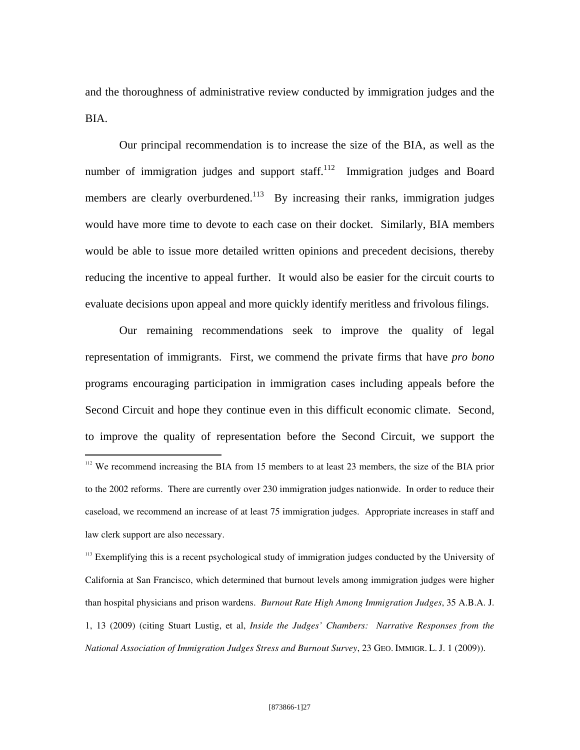and the thoroughness of administrative review conducted by immigration judges and the BIA.

Our principal recommendation is to increase the size of the BIA, as well as the number of immigration judges and support staff. $112$  Immigration judges and Board members are clearly overburdened.<sup>113</sup> By increasing their ranks, immigration judges would have more time to devote to each case on their docket. Similarly, BIA members would be able to issue more detailed written opinions and precedent decisions, thereby reducing the incentive to appeal further. It would also be easier for the circuit courts to evaluate decisions upon appeal and more quickly identify meritless and frivolous filings.

 Our remaining recommendations seek to improve the quality of legal representation of immigrants. First, we commend the private firms that have *pro bono*  programs encouraging participation in immigration cases including appeals before the Second Circuit and hope they continue even in this difficult economic climate. Second, to improve the quality of representation before the Second Circuit, we support the <u>.</u> <sup>112</sup> We recommend increasing the BIA from 15 members to at least 23 members, the size of the BIA prior to the 2002 reforms. There are currently over 230 immigration judges nationwide. In order to reduce their caseload, we recommend an increase of at least 75 immigration judges. Appropriate increases in staff and law clerk support are also necessary.

<sup>113</sup> Exemplifying this is a recent psychological study of immigration judges conducted by the University of California at San Francisco, which determined that burnout levels among immigration judges were higher than hospital physicians and prison wardens. *Burnout Rate High Among Immigration Judges*, 35 A.B.A. J. 1, 13 (2009) (citing Stuart Lustig, et al, *Inside the Judges' Chambers: Narrative Responses from the National Association of Immigration Judges Stress and Burnout Survey*, 23 GEO. IMMIGR. L. J. 1 (2009)).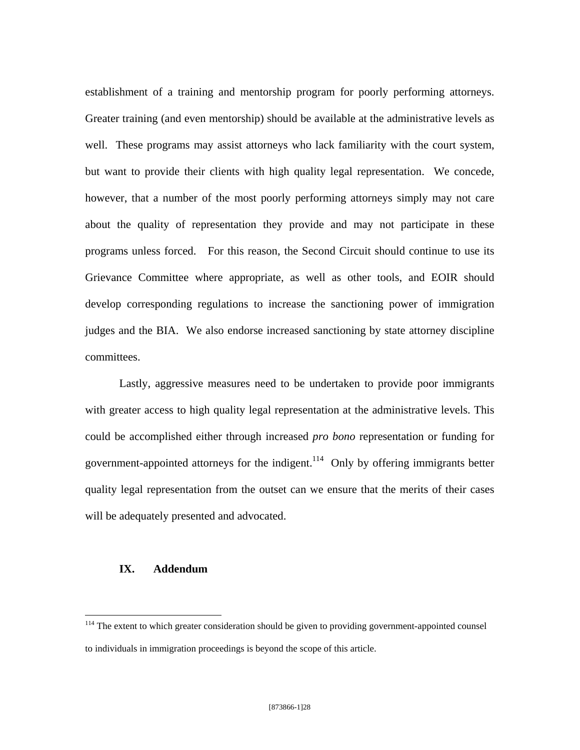establishment of a training and mentorship program for poorly performing attorneys. Greater training (and even mentorship) should be available at the administrative levels as well. These programs may assist attorneys who lack familiarity with the court system, but want to provide their clients with high quality legal representation. We concede, however, that a number of the most poorly performing attorneys simply may not care about the quality of representation they provide and may not participate in these programs unless forced. For this reason, the Second Circuit should continue to use its Grievance Committee where appropriate, as well as other tools, and EOIR should develop corresponding regulations to increase the sanctioning power of immigration judges and the BIA. We also endorse increased sanctioning by state attorney discipline committees.

 Lastly, aggressive measures need to be undertaken to provide poor immigrants with greater access to high quality legal representation at the administrative levels. This could be accomplished either through increased *pro bono* representation or funding for government-appointed attorneys for the indigent.<sup>114</sup> Only by offering immigrants better quality legal representation from the outset can we ensure that the merits of their cases will be adequately presented and advocated.

## **IX. Addendum**

<sup>&</sup>lt;sup>114</sup> The extent to which greater consideration should be given to providing government-appointed counsel to individuals in immigration proceedings is beyond the scope of this article.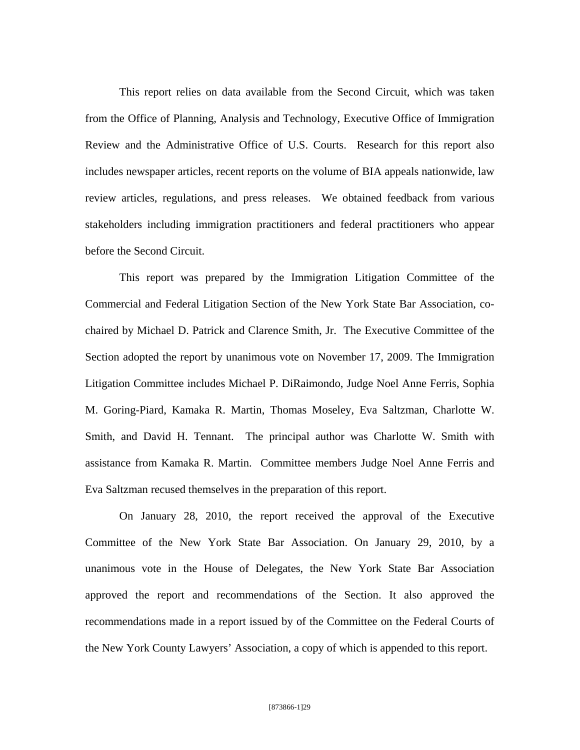This report relies on data available from the Second Circuit, which was taken from the Office of Planning, Analysis and Technology, Executive Office of Immigration Review and the Administrative Office of U.S. Courts. Research for this report also includes newspaper articles, recent reports on the volume of BIA appeals nationwide, law review articles, regulations, and press releases. We obtained feedback from various stakeholders including immigration practitioners and federal practitioners who appear before the Second Circuit.

This report was prepared by the Immigration Litigation Committee of the Commercial and Federal Litigation Section of the New York State Bar Association, cochaired by Michael D. Patrick and Clarence Smith, Jr. The Executive Committee of the Section adopted the report by unanimous vote on November 17, 2009. The Immigration Litigation Committee includes Michael P. DiRaimondo, Judge Noel Anne Ferris, Sophia M. Goring-Piard, Kamaka R. Martin, Thomas Moseley, Eva Saltzman, Charlotte W. Smith, and David H. Tennant. The principal author was Charlotte W. Smith with assistance from Kamaka R. Martin. Committee members Judge Noel Anne Ferris and Eva Saltzman recused themselves in the preparation of this report.

On January 28, 2010, the report received the approval of the Executive Committee of the New York State Bar Association. On January 29, 2010, by a unanimous vote in the House of Delegates, the New York State Bar Association approved the report and recommendations of the Section. It also approved the recommendations made in a report issued by of the Committee on the Federal Courts of the New York County Lawyers' Association, a copy of which is appended to this report.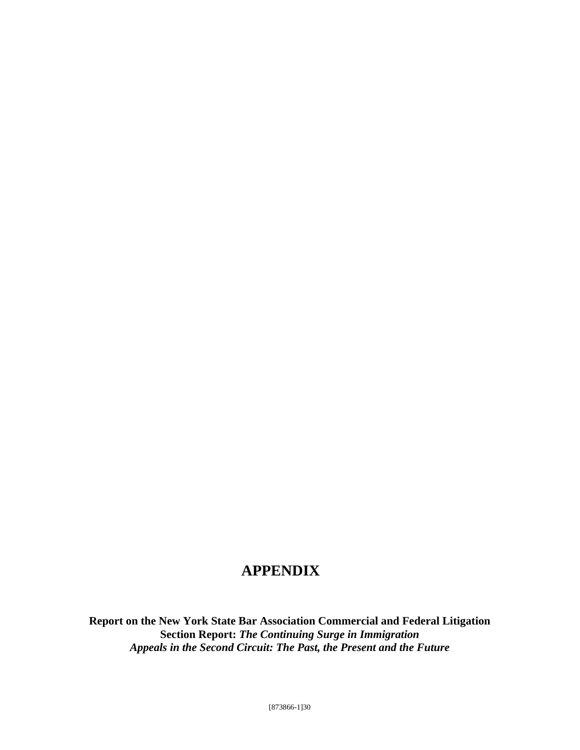# **APPENDIX**

**Report on the New York State Bar Association Commercial and Federal Litigation Section Report:** *The Continuing Surge in Immigration Appeals in the Second Circuit: The Past, the Present and the Future*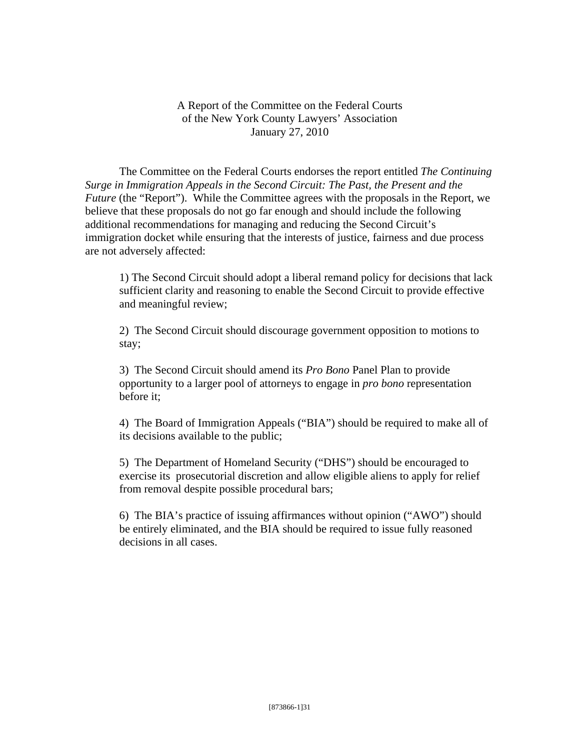A Report of the Committee on the Federal Courts of the New York County Lawyers' Association January 27, 2010

 The Committee on the Federal Courts endorses the report entitled *The Continuing Surge in Immigration Appeals in the Second Circuit: The Past, the Present and the Future* (the "Report"). While the Committee agrees with the proposals in the Report, we believe that these proposals do not go far enough and should include the following additional recommendations for managing and reducing the Second Circuit's immigration docket while ensuring that the interests of justice, fairness and due process are not adversely affected:

1) The Second Circuit should adopt a liberal remand policy for decisions that lack sufficient clarity and reasoning to enable the Second Circuit to provide effective and meaningful review;

2) The Second Circuit should discourage government opposition to motions to stay;

3) The Second Circuit should amend its *Pro Bono* Panel Plan to provide opportunity to a larger pool of attorneys to engage in *pro bono* representation before it;

4) The Board of Immigration Appeals ("BIA") should be required to make all of its decisions available to the public;

5) The Department of Homeland Security ("DHS") should be encouraged to exercise its prosecutorial discretion and allow eligible aliens to apply for relief from removal despite possible procedural bars;

6) The BIA's practice of issuing affirmances without opinion ("AWO") should be entirely eliminated, and the BIA should be required to issue fully reasoned decisions in all cases.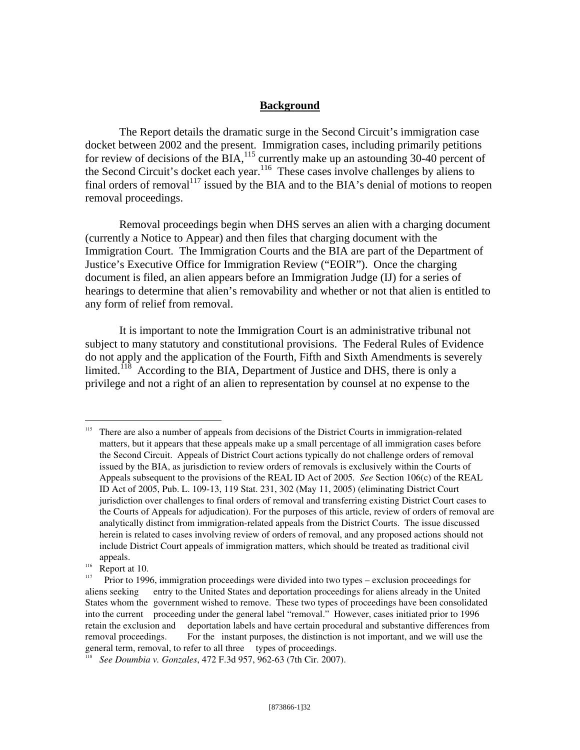### **Background**

 The Report details the dramatic surge in the Second Circuit's immigration case docket between 2002 and the present. Immigration cases, including primarily petitions for review of decisions of the BIA, $^{115}$  currently make up an astounding 30-40 percent of the Second Circuit's docket each year.<sup>116</sup> These cases involve challenges by aliens to final orders of removal<sup>117</sup> issued by the BIA and to the BIA's denial of motions to reopen removal proceedings.

 Removal proceedings begin when DHS serves an alien with a charging document (currently a Notice to Appear) and then files that charging document with the Immigration Court. The Immigration Courts and the BIA are part of the Department of Justice's Executive Office for Immigration Review ("EOIR"). Once the charging document is filed, an alien appears before an Immigration Judge (IJ) for a series of hearings to determine that alien's removability and whether or not that alien is entitled to any form of relief from removal.

 It is important to note the Immigration Court is an administrative tribunal not subject to many statutory and constitutional provisions. The Federal Rules of Evidence do not apply and the application of the Fourth, Fifth and Sixth Amendments is severely limited. $118$  According to the BIA, Department of Justice and DHS, there is only a privilege and not a right of an alien to representation by counsel at no expense to the

<sup>&</sup>lt;sup>115</sup> There are also a number of appeals from decisions of the District Courts in immigration-related matters, but it appears that these appeals make up a small percentage of all immigration cases before the Second Circuit. Appeals of District Court actions typically do not challenge orders of removal issued by the BIA, as jurisdiction to review orders of removals is exclusively within the Courts of Appeals subsequent to the provisions of the REAL ID Act of 2005*. See* Section 106(c) of the REAL ID Act of 2005, Pub. L. 109-13, 119 Stat. 231, 302 (May 11, 2005) (eliminating District Court jurisdiction over challenges to final orders of removal and transferring existing District Court cases to the Courts of Appeals for adjudication). For the purposes of this article, review of orders of removal are analytically distinct from immigration-related appeals from the District Courts. The issue discussed herein is related to cases involving review of orders of removal, and any proposed actions should not include District Court appeals of immigration matters, which should be treated as traditional civil appeals.<br>
<sup>116</sup> Report at 10.<br>
<sup>117</sup> Prior to 1996, immigration proceedings were divided into two types – exclusion proceedings for

aliens seeking entry to the United States and deportation proceedings for aliens already in the United States whom the government wished to remove. These two types of proceedings have been consolidated into the current proceeding under the general label "removal." However, cases initiated prior to 1996 retain the exclusion and deportation labels and have certain procedural and substantive differences from removal proceedings. For the instant purposes, the distinction is not important, and we will use the general term, removal, to refer to all three types of proceedings.

<sup>&</sup>lt;sup>118</sup> See Doumbia v. Gonzales, 472 F.3d 957, 962-63 (7th Cir. 2007).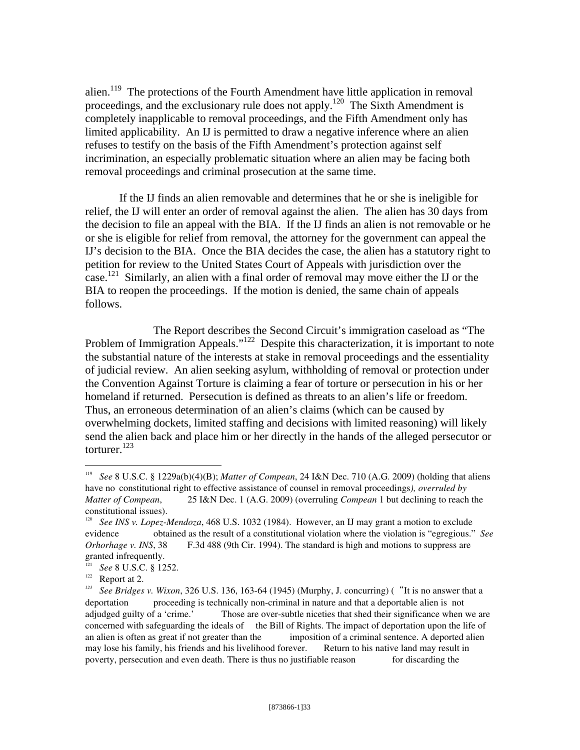alien.<sup>119</sup> The protections of the Fourth Amendment have little application in removal proceedings, and the exclusionary rule does not apply.120 The Sixth Amendment is completely inapplicable to removal proceedings, and the Fifth Amendment only has limited applicability. An IJ is permitted to draw a negative inference where an alien refuses to testify on the basis of the Fifth Amendment's protection against self incrimination, an especially problematic situation where an alien may be facing both removal proceedings and criminal prosecution at the same time.

 If the IJ finds an alien removable and determines that he or she is ineligible for relief, the IJ will enter an order of removal against the alien. The alien has 30 days from the decision to file an appeal with the BIA. If the IJ finds an alien is not removable or he or she is eligible for relief from removal, the attorney for the government can appeal the IJ's decision to the BIA. Once the BIA decides the case, the alien has a statutory right to petition for review to the United States Court of Appeals with jurisdiction over the case.<sup>121</sup> Similarly, an alien with a final order of removal may move either the IJ or the BIA to reopen the proceedings. If the motion is denied, the same chain of appeals follows.

 The Report describes the Second Circuit's immigration caseload as "The Problem of Immigration Appeals."<sup>122</sup> Despite this characterization, it is important to note the substantial nature of the interests at stake in removal proceedings and the essentiality of judicial review. An alien seeking asylum, withholding of removal or protection under the Convention Against Torture is claiming a fear of torture or persecution in his or her homeland if returned. Persecution is defined as threats to an alien's life or freedom. Thus, an erroneous determination of an alien's claims (which can be caused by overwhelming dockets, limited staffing and decisions with limited reasoning) will likely send the alien back and place him or her directly in the hands of the alleged persecutor or torturer.<sup>123</sup>

<sup>119</sup> *See* 8 U.S.C. § 1229a(b)(4)(B); *Matter of Compean*, 24 I&N Dec. 710 (A.G. 2009) (holding that aliens have no constitutional right to effective assistance of counsel in removal proceedings*), overruled by Matter of Compean*, 25 I&N Dec. 1 (A.G. 2009) (overruling *Compean* 1 but declining to reach the constitutional issues).

<sup>&</sup>lt;sup>120</sup> *See INS v. Lopez-Mendoza*, 468 U.S. 1032 (1984). However, an IJ may grant a motion to exclude evidence obtained as the result of a constitutional violation where the violation is "egregious." *See Orhorhage v. INS*, 38 F.3d 488 (9th Cir. 1994). The standard is high and motions to suppress are granted infrequently.

<sup>&</sup>lt;sup>121</sup> *See* 8 U.S.C. § 1252.<br>Report at 2.

<sup>&</sup>lt;sup>122</sup> Report at 2.<br><sup>123</sup> See Bridges v. Wixon, 326 U.S. 136, 163-64 (1945) (Murphy, J. concurring) ("It is no answer that a deportation proceeding is technically non-criminal in nature and that a deportable alien is not adjudged guilty of a 'crime.' Those are over-subtle niceties that shed their significance when we are concerned with safeguarding the ideals of the Bill of Rights. The impact of deportation upon the life of an alien is often as great if not greater than the imposition of a criminal sentence. A deported alien may lose his family, his friends and his livelihood forever. Return to his native land may result in poverty, persecution and even death. There is thus no justifiable reason for discarding the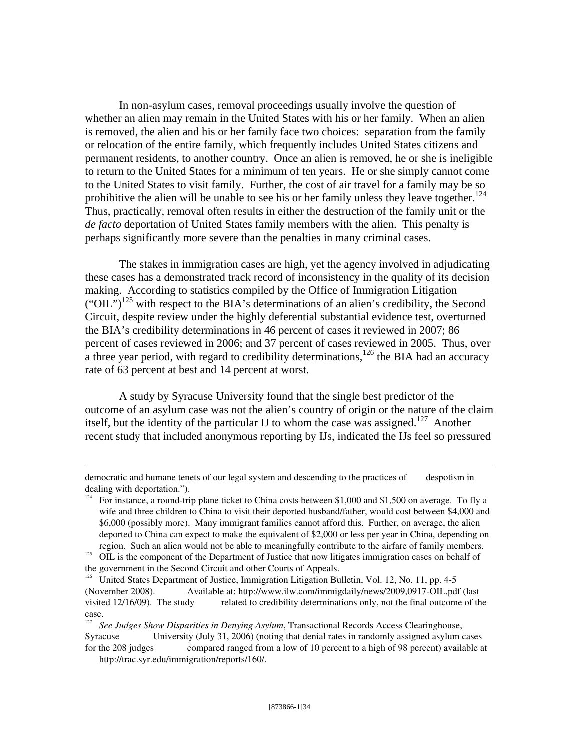In non-asylum cases, removal proceedings usually involve the question of whether an alien may remain in the United States with his or her family. When an alien is removed, the alien and his or her family face two choices: separation from the family or relocation of the entire family, which frequently includes United States citizens and permanent residents, to another country. Once an alien is removed, he or she is ineligible to return to the United States for a minimum of ten years. He or she simply cannot come to the United States to visit family. Further, the cost of air travel for a family may be so prohibitive the alien will be unable to see his or her family unless they leave together.<sup>124</sup> Thus, practically, removal often results in either the destruction of the family unit or the *de facto* deportation of United States family members with the alien. This penalty is perhaps significantly more severe than the penalties in many criminal cases.

The stakes in immigration cases are high, yet the agency involved in adjudicating these cases has a demonstrated track record of inconsistency in the quality of its decision making. According to statistics compiled by the Office of Immigration Litigation ("OIL")<sup>125</sup> with respect to the BIA's determinations of an alien's credibility, the Second Circuit, despite review under the highly deferential substantial evidence test, overturned the BIA's credibility determinations in 46 percent of cases it reviewed in 2007; 86 percent of cases reviewed in 2006; and 37 percent of cases reviewed in 2005. Thus, over a three year period, with regard to credibility determinations,<sup>126</sup> the BIA had an accuracy rate of 63 percent at best and 14 percent at worst.

A study by Syracuse University found that the single best predictor of the outcome of an asylum case was not the alien's country of origin or the nature of the claim itself, but the identity of the particular IJ to whom the case was assigned.<sup>127</sup> Another recent study that included anonymous reporting by IJs, indicated the IJs feel so pressured

democratic and humane tenets of our legal system and descending to the practices of despotism in dealing with deportation.").

<sup>&</sup>lt;sup>124</sup> For instance, a round-trip plane ticket to China costs between \$1,000 and \$1,500 on average. To fly a wife and three children to China to visit their deported husband/father, would cost between \$4,000 and \$6,000 (possibly more). Many immigrant families cannot afford this. Further, on average, the alien deported to China can expect to make the equivalent of \$2,000 or less per year in China, depending on region. Such an alien would not be able to meaningfully contribute to the airfare of family members.

 $\frac{125}{125}$  OIL is the component of the Department of Justice that now litigates immigration cases on behalf of the government in the Second Circuit and other Courts of Appeals.

<sup>&</sup>lt;sup>126</sup> United States Department of Justice, Immigration Litigation Bulletin, Vol. 12, No. 11, pp. 4-5 (November 2008). Available at: http://www.ilw.com/immigdaily/news/2009,0917-OIL.pdf (last visited 12/16/09). The study related to credibility determinations only, not the final outcome of the case.

<sup>&</sup>lt;sup>127</sup> See Judges Show Disparities in Denying Asylum, Transactional Records Access Clearinghouse, Syracuse University (July 31, 2006) (noting that denial rates in randomly assigned asylum cases for the 208 judges compared ranged from a low of 10 percent to a high of 98 percent) available a compared ranged from a low of 10 percent to a high of 98 percent) available at http://trac.syr.edu/immigration/reports/160/.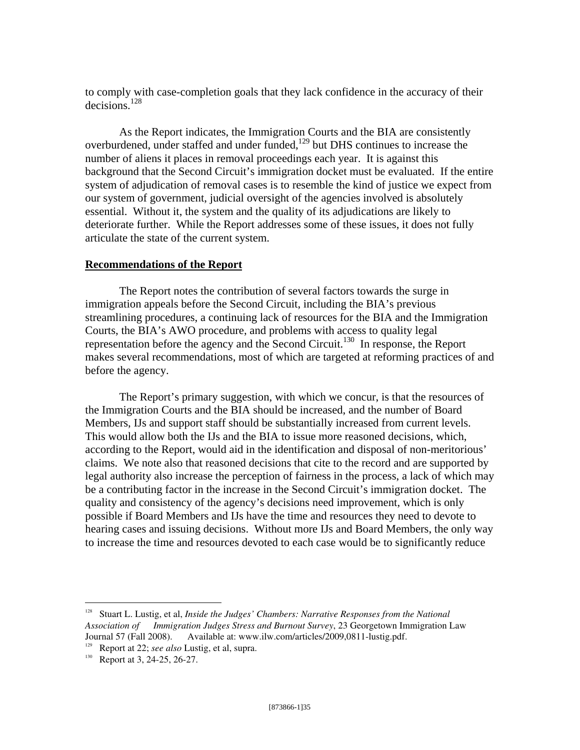to comply with case-completion goals that they lack confidence in the accuracy of their decisions.128

As the Report indicates, the Immigration Courts and the BIA are consistently overburdened, under staffed and under funded,<sup>129</sup> but DHS continues to increase the number of aliens it places in removal proceedings each year. It is against this background that the Second Circuit's immigration docket must be evaluated. If the entire system of adjudication of removal cases is to resemble the kind of justice we expect from our system of government, judicial oversight of the agencies involved is absolutely essential. Without it, the system and the quality of its adjudications are likely to deteriorate further. While the Report addresses some of these issues, it does not fully articulate the state of the current system.

### **Recommendations of the Report**

 The Report notes the contribution of several factors towards the surge in immigration appeals before the Second Circuit, including the BIA's previous streamlining procedures, a continuing lack of resources for the BIA and the Immigration Courts, the BIA's AWO procedure, and problems with access to quality legal representation before the agency and the Second Circuit.<sup>130</sup> In response, the Report makes several recommendations, most of which are targeted at reforming practices of and before the agency.

 The Report's primary suggestion, with which we concur, is that the resources of the Immigration Courts and the BIA should be increased, and the number of Board Members, IJs and support staff should be substantially increased from current levels. This would allow both the IJs and the BIA to issue more reasoned decisions, which, according to the Report, would aid in the identification and disposal of non-meritorious' claims. We note also that reasoned decisions that cite to the record and are supported by legal authority also increase the perception of fairness in the process, a lack of which may be a contributing factor in the increase in the Second Circuit's immigration docket. The quality and consistency of the agency's decisions need improvement, which is only possible if Board Members and IJs have the time and resources they need to devote to hearing cases and issuing decisions. Without more IJs and Board Members, the only way to increase the time and resources devoted to each case would be to significantly reduce

<u>.</u>

<sup>&</sup>lt;sup>128</sup> Stuart L. Lustig, et al, *Inside the Judges' Chambers: Narrative Responses from the National Association of Immigration Judges Stress and Burnout Survey*, 23 Georgetown Immigration Law Available at: www.ilw.com/articles/2009,0811-lustig.pdf.

<sup>&</sup>lt;sup>129</sup> Report at 22; *see also* Lustig, et al, supra.<br><sup>130</sup> Report at 3, 24-25, 26-27.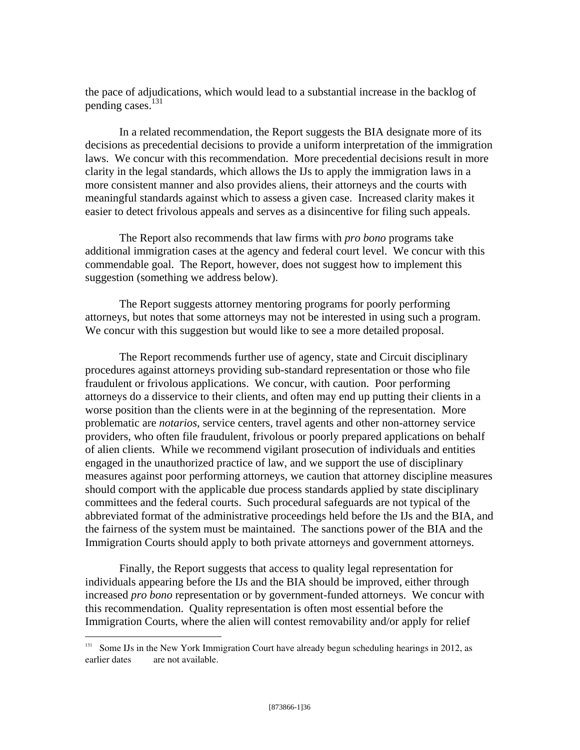the pace of adjudications, which would lead to a substantial increase in the backlog of pending cases.<sup>131</sup>

 In a related recommendation, the Report suggests the BIA designate more of its decisions as precedential decisions to provide a uniform interpretation of the immigration laws. We concur with this recommendation. More precedential decisions result in more clarity in the legal standards, which allows the IJs to apply the immigration laws in a more consistent manner and also provides aliens, their attorneys and the courts with meaningful standards against which to assess a given case. Increased clarity makes it easier to detect frivolous appeals and serves as a disincentive for filing such appeals.

 The Report also recommends that law firms with *pro bono* programs take additional immigration cases at the agency and federal court level. We concur with this commendable goal. The Report, however, does not suggest how to implement this suggestion (something we address below).

 The Report suggests attorney mentoring programs for poorly performing attorneys, but notes that some attorneys may not be interested in using such a program. We concur with this suggestion but would like to see a more detailed proposal.

 The Report recommends further use of agency, state and Circuit disciplinary procedures against attorneys providing sub-standard representation or those who file fraudulent or frivolous applications. We concur, with caution. Poor performing attorneys do a disservice to their clients, and often may end up putting their clients in a worse position than the clients were in at the beginning of the representation. More problematic are *notarios*, service centers, travel agents and other non-attorney service providers, who often file fraudulent, frivolous or poorly prepared applications on behalf of alien clients. While we recommend vigilant prosecution of individuals and entities engaged in the unauthorized practice of law, and we support the use of disciplinary measures against poor performing attorneys, we caution that attorney discipline measures should comport with the applicable due process standards applied by state disciplinary committees and the federal courts. Such procedural safeguards are not typical of the abbreviated format of the administrative proceedings held before the IJs and the BIA, and the fairness of the system must be maintained. The sanctions power of the BIA and the Immigration Courts should apply to both private attorneys and government attorneys.

 Finally, the Report suggests that access to quality legal representation for individuals appearing before the IJs and the BIA should be improved, either through increased *pro bono* representation or by government-funded attorneys. We concur with this recommendation. Quality representation is often most essential before the Immigration Courts, where the alien will contest removability and/or apply for relief

Some IJs in the New York Immigration Court have already begun scheduling hearings in 2012, as earlier dates are not available.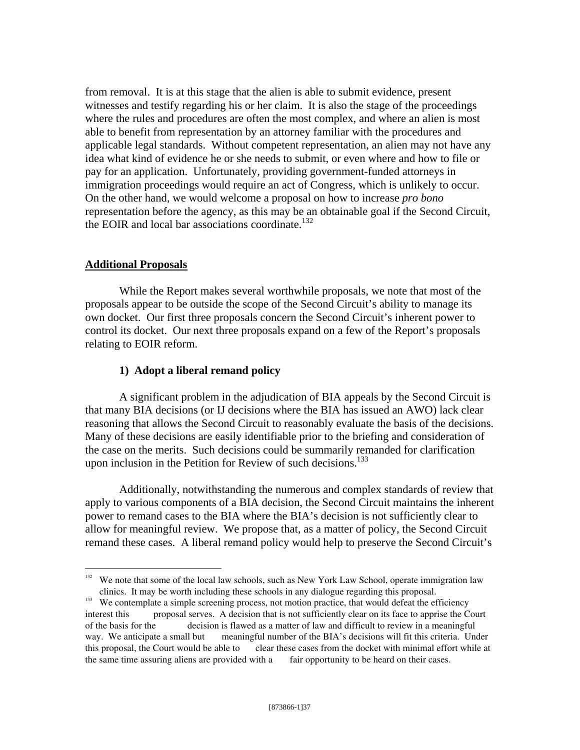from removal. It is at this stage that the alien is able to submit evidence, present witnesses and testify regarding his or her claim. It is also the stage of the proceedings where the rules and procedures are often the most complex, and where an alien is most able to benefit from representation by an attorney familiar with the procedures and applicable legal standards. Without competent representation, an alien may not have any idea what kind of evidence he or she needs to submit, or even where and how to file or pay for an application. Unfortunately, providing government-funded attorneys in immigration proceedings would require an act of Congress, which is unlikely to occur. On the other hand, we would welcome a proposal on how to increase *pro bono* representation before the agency, as this may be an obtainable goal if the Second Circuit, the EOIR and local bar associations coordinate.<sup>132</sup>

## **Additional Proposals**

 $\overline{a}$ 

 While the Report makes several worthwhile proposals, we note that most of the proposals appear to be outside the scope of the Second Circuit's ability to manage its own docket. Our first three proposals concern the Second Circuit's inherent power to control its docket. Our next three proposals expand on a few of the Report's proposals relating to EOIR reform.

## **1) Adopt a liberal remand policy**

A significant problem in the adjudication of BIA appeals by the Second Circuit is that many BIA decisions (or IJ decisions where the BIA has issued an AWO) lack clear reasoning that allows the Second Circuit to reasonably evaluate the basis of the decisions. Many of these decisions are easily identifiable prior to the briefing and consideration of the case on the merits. Such decisions could be summarily remanded for clarification upon inclusion in the Petition for Review of such decisions.<sup>133</sup>

Additionally, notwithstanding the numerous and complex standards of review that apply to various components of a BIA decision, the Second Circuit maintains the inherent power to remand cases to the BIA where the BIA's decision is not sufficiently clear to allow for meaningful review. We propose that, as a matter of policy, the Second Circuit remand these cases. A liberal remand policy would help to preserve the Second Circuit's

<sup>&</sup>lt;sup>132</sup> We note that some of the local law schools, such as New York Law School, operate immigration law clinics. It may be worth including these schools in any dialogue regarding this proposal. 133 We contemplate a simple screening process, not motion practice, that would defeat the efficiency

interest this proposal serves. A decision that is not sufficiently clear on its face to apprise the Court of the basis for the decision is flawed as a matter of law and difficult to review in a meaningful way. We anticipate a small but meaningful number of the BIA's decisions will fit this criteria. Under this proposal, the Court would be able to clear these cases from the docket with minimal effort while at the same time assuring aliens are provided with a fair opportunity to be heard on their cases.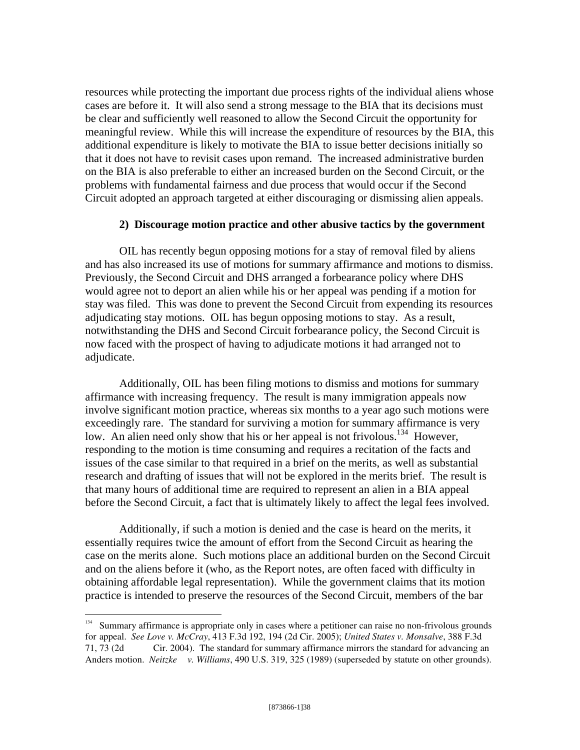resources while protecting the important due process rights of the individual aliens whose cases are before it. It will also send a strong message to the BIA that its decisions must be clear and sufficiently well reasoned to allow the Second Circuit the opportunity for meaningful review. While this will increase the expenditure of resources by the BIA, this additional expenditure is likely to motivate the BIA to issue better decisions initially so that it does not have to revisit cases upon remand. The increased administrative burden on the BIA is also preferable to either an increased burden on the Second Circuit, or the problems with fundamental fairness and due process that would occur if the Second Circuit adopted an approach targeted at either discouraging or dismissing alien appeals.

## **2) Discourage motion practice and other abusive tactics by the government**

OIL has recently begun opposing motions for a stay of removal filed by aliens and has also increased its use of motions for summary affirmance and motions to dismiss. Previously, the Second Circuit and DHS arranged a forbearance policy where DHS would agree not to deport an alien while his or her appeal was pending if a motion for stay was filed. This was done to prevent the Second Circuit from expending its resources adjudicating stay motions. OIL has begun opposing motions to stay. As a result, notwithstanding the DHS and Second Circuit forbearance policy, the Second Circuit is now faced with the prospect of having to adjudicate motions it had arranged not to adjudicate.

Additionally, OIL has been filing motions to dismiss and motions for summary affirmance with increasing frequency. The result is many immigration appeals now involve significant motion practice, whereas six months to a year ago such motions were exceedingly rare. The standard for surviving a motion for summary affirmance is very low. An alien need only show that his or her appeal is not frivolous.<sup>134</sup> However, responding to the motion is time consuming and requires a recitation of the facts and issues of the case similar to that required in a brief on the merits, as well as substantial research and drafting of issues that will not be explored in the merits brief. The result is that many hours of additional time are required to represent an alien in a BIA appeal before the Second Circuit, a fact that is ultimately likely to affect the legal fees involved.

Additionally, if such a motion is denied and the case is heard on the merits, it essentially requires twice the amount of effort from the Second Circuit as hearing the case on the merits alone. Such motions place an additional burden on the Second Circuit and on the aliens before it (who, as the Report notes, are often faced with difficulty in obtaining affordable legal representation). While the government claims that its motion practice is intended to preserve the resources of the Second Circuit, members of the bar

<sup>&</sup>lt;sup>134</sup> Summary affirmance is appropriate only in cases where a petitioner can raise no non-frivolous grounds for appeal. *See Love v. McCray*, 413 F.3d 192, 194 (2d Cir. 2005); *United States v. Monsalve*, 388 F.3d 71, 73 (2d Cir. 2004). The standard for summary affirmance mirrors the standard for advancing an Anders motion. *Neitzke v. Williams*, 490 U.S. 319, 325 (1989) (superseded by statute on other grounds).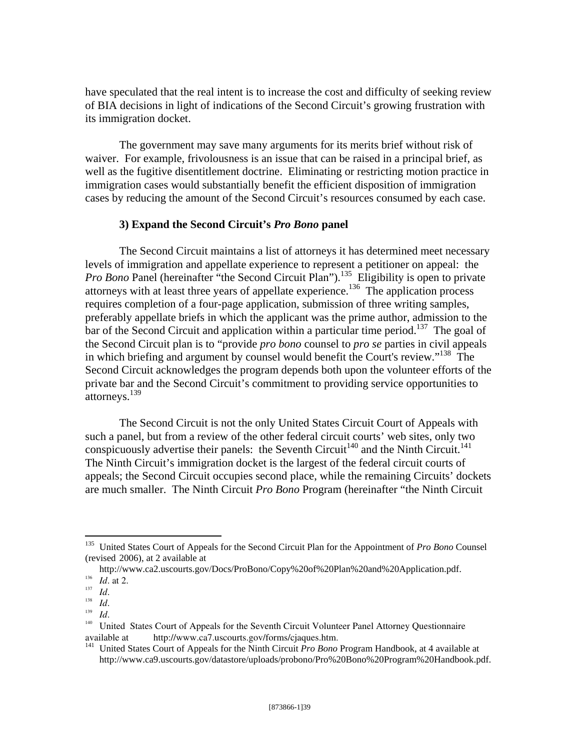have speculated that the real intent is to increase the cost and difficulty of seeking review of BIA decisions in light of indications of the Second Circuit's growing frustration with its immigration docket.

The government may save many arguments for its merits brief without risk of waiver. For example, frivolousness is an issue that can be raised in a principal brief, as well as the fugitive disentitlement doctrine. Eliminating or restricting motion practice in immigration cases would substantially benefit the efficient disposition of immigration cases by reducing the amount of the Second Circuit's resources consumed by each case.

## **3) Expand the Second Circuit's** *Pro Bono* **panel**

 The Second Circuit maintains a list of attorneys it has determined meet necessary levels of immigration and appellate experience to represent a petitioner on appeal: the *Pro Bono* Panel (hereinafter "the Second Circuit Plan").<sup>135</sup> Eligibility is open to private attorneys with at least three years of appellate experience.<sup>136</sup> The application process requires completion of a four-page application, submission of three writing samples, preferably appellate briefs in which the applicant was the prime author, admission to the  $\frac{1}{2}$  bar of the Second Circuit and application within a particular time period.<sup>137</sup> The goal of the Second Circuit plan is to "provide *pro bono* counsel to *pro se* parties in civil appeals in which briefing and argument by counsel would benefit the Court's review."<sup>138</sup> The Second Circuit acknowledges the program depends both upon the volunteer efforts of the private bar and the Second Circuit's commitment to providing service opportunities to attorneys.<sup>139</sup>

 The Second Circuit is not the only United States Circuit Court of Appeals with such a panel, but from a review of the other federal circuit courts' web sites, only two conspicuously advertise their panels: the Seventh Circuit<sup>140</sup> and the Ninth Circuit.<sup>141</sup> The Ninth Circuit's immigration docket is the largest of the federal circuit courts of appeals; the Second Circuit occupies second place, while the remaining Circuits' dockets are much smaller. The Ninth Circuit *Pro Bono* Program (hereinafter "the Ninth Circuit

<u>.</u>

<sup>135</sup> United States Court of Appeals for the Second Circuit Plan for the Appointment of *Pro Bono* Counsel (revised 2006), at 2 available at

http://www.ca2.uscourts.gov/Docs/ProBono/Copy%20of%20Plan%20and%20Application.pdf.

<sup>137</sup> *Id.*<br>
<sup>138</sup> *Id.*<br>
<sup>138</sup> *Id.*<br>
<sup>139</sup> *Id.*<br>
<sup>140</sup> United States Court of Appeals for the Seventh Circuit Volunteer Panel Attorney Questionnaire available at http://www.ca7.uscourts.gov/forms/cjaques.htm.

<sup>141</sup> United States Court of Appeals for the Ninth Circuit *Pro Bono* Program Handbook, at 4 available at http://www.ca9.uscourts.gov/datastore/uploads/probono/Pro%20Bono%20Program%20Handbook.pdf.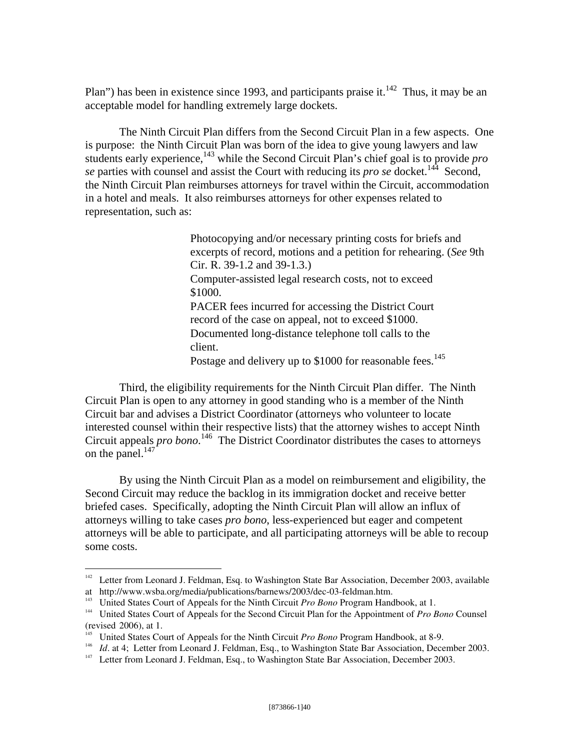Plan") has been in existence since 1993, and participants praise it.<sup>142</sup> Thus, it may be an acceptable model for handling extremely large dockets.

 The Ninth Circuit Plan differs from the Second Circuit Plan in a few aspects. One is purpose: the Ninth Circuit Plan was born of the idea to give young lawyers and law students early experience,143 while the Second Circuit Plan's chief goal is to provide *pro se* parties with counsel and assist the Court with reducing its *pro se* docket.<sup>144</sup> Second, the Ninth Circuit Plan reimburses attorneys for travel within the Circuit, accommodation in a hotel and meals. It also reimburses attorneys for other expenses related to representation, such as:

> Photocopying and/or necessary printing costs for briefs and excerpts of record, motions and a petition for rehearing. (*See* 9th Cir. R. 39-1.2 and 39-1.3.) Computer-assisted legal research costs, not to exceed \$1000. PACER fees incurred for accessing the District Court record of the case on appeal, not to exceed \$1000. Documented long-distance telephone toll calls to the client. Postage and delivery up to \$1000 for reasonable fees.<sup>145</sup>

 Third, the eligibility requirements for the Ninth Circuit Plan differ. The Ninth Circuit Plan is open to any attorney in good standing who is a member of the Ninth Circuit bar and advises a District Coordinator (attorneys who volunteer to locate interested counsel within their respective lists) that the attorney wishes to accept Ninth Circuit appeals *pro bono*. 146 The District Coordinator distributes the cases to attorneys on the panel. $147$ 

 By using the Ninth Circuit Plan as a model on reimbursement and eligibility, the Second Circuit may reduce the backlog in its immigration docket and receive better briefed cases. Specifically, adopting the Ninth Circuit Plan will allow an influx of attorneys willing to take cases *pro bono*, less-experienced but eager and competent attorneys will be able to participate, and all participating attorneys will be able to recoup some costs.

<sup>&</sup>lt;sup>142</sup> Letter from Leonard J. Feldman, Esq. to Washington State Bar Association, December 2003, available at http://www.wsba.org/media/publications/barnews/2003/dec-03-feldman.htm.<br><sup>143</sup> United States Court of Appeals for the Ninth Circuit *Pro Bono* Program Handbook, at 1.

<sup>&</sup>lt;sup>144</sup> United States Court of Appeals for the Second Circuit *Plan for the Appointment of Pro Bono* Counsel (revised 2006), at 1.<br><sup>145</sup> United States Court of Appeals for the Ninth Circuit *Pro Bono* Program Handbook, at 8-9.

<sup>146</sup> *Id.* at 4; Letter from Leonard J. Feldman, Esq., to Washington State Bar Association, December 2003.<br><sup>147</sup> Letter from Leonard J. Feldman, Esq., to Washington State Bar Association, December 2003.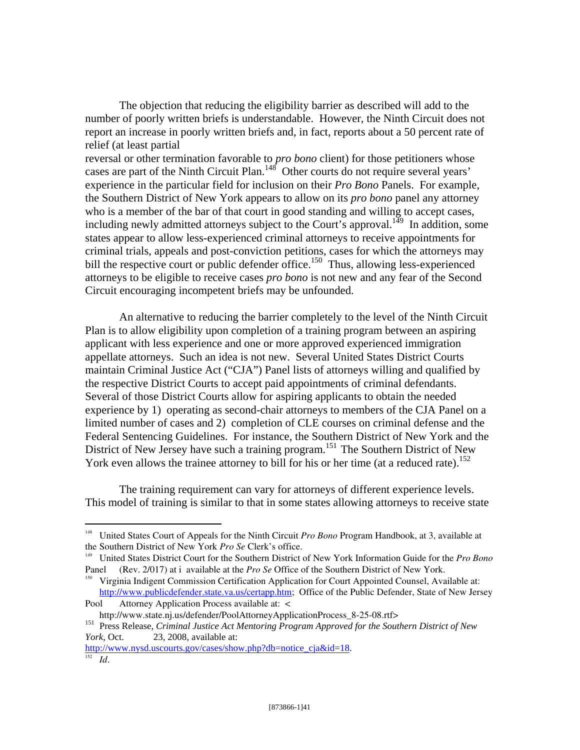The objection that reducing the eligibility barrier as described will add to the number of poorly written briefs is understandable. However, the Ninth Circuit does not report an increase in poorly written briefs and, in fact, reports about a 50 percent rate of relief (at least partial

reversal or other termination favorable to *pro bono* client) for those petitioners whose cases are part of the Ninth Circuit Plan.<sup>148</sup> Other courts do not require several years' experience in the particular field for inclusion on their *Pro Bono* Panels. For example, the Southern District of New York appears to allow on its *pro bono* panel any attorney who is a member of the bar of that court in good standing and willing to accept cases, including newly admitted attorneys subject to the Court's approval.<sup>149</sup> In addition, some states appear to allow less-experienced criminal attorneys to receive appointments for criminal trials, appeals and post-conviction petitions, cases for which the attorneys may bill the respective court or public defender office.<sup>150</sup> Thus, allowing less-experienced attorneys to be eligible to receive cases *pro bono* is not new and any fear of the Second Circuit encouraging incompetent briefs may be unfounded.

 An alternative to reducing the barrier completely to the level of the Ninth Circuit Plan is to allow eligibility upon completion of a training program between an aspiring applicant with less experience and one or more approved experienced immigration appellate attorneys. Such an idea is not new. Several United States District Courts maintain Criminal Justice Act ("CJA") Panel lists of attorneys willing and qualified by the respective District Courts to accept paid appointments of criminal defendants. Several of those District Courts allow for aspiring applicants to obtain the needed experience by 1) operating as second-chair attorneys to members of the CJA Panel on a limited number of cases and 2) completion of CLE courses on criminal defense and the Federal Sentencing Guidelines. For instance, the Southern District of New York and the District of New Jersey have such a training program.<sup>151</sup> The Southern District of New York even allows the trainee attorney to bill for his or her time (at a reduced rate).<sup>152</sup>

 The training requirement can vary for attorneys of different experience levels. This model of training is similar to that in some states allowing attorneys to receive state

http://www.nysd.uscourts.gov/cases/show.php?db=notice\_cja&id=18. <sup>152</sup> *Id*.

1

<sup>&</sup>lt;sup>148</sup> United States Court of Appeals for the Ninth Circuit *Pro Bono* Program Handbook, at 3, available at the Southern District of New York *Pro Se* Clerk's office.

<sup>&</sup>lt;sup>149</sup> United States District Court for the Southern District of New York Information Guide for the *Pro Bono* Panel (Rev. 2/017) at i available at the *Pro Se* Office of the Southern District of New York.<br><sup>150</sup> Virginia Indigent Commission Certification Application for Court Appointed Counsel, Available at:

http://www.publicdefender.state.va.us/certapp.htm; Office of the Public Defender, State of New Jersey

Pool Attorney Application Process available at: < http://www.state.nj.us/defender/PoolAttorneyApplicationProcess 8-25-08.rtf>

<sup>151</sup> Press Release, *Criminal Justice Act Mentoring Program Approved for the Southern District of New York*, Oct. 23, 2008, available at: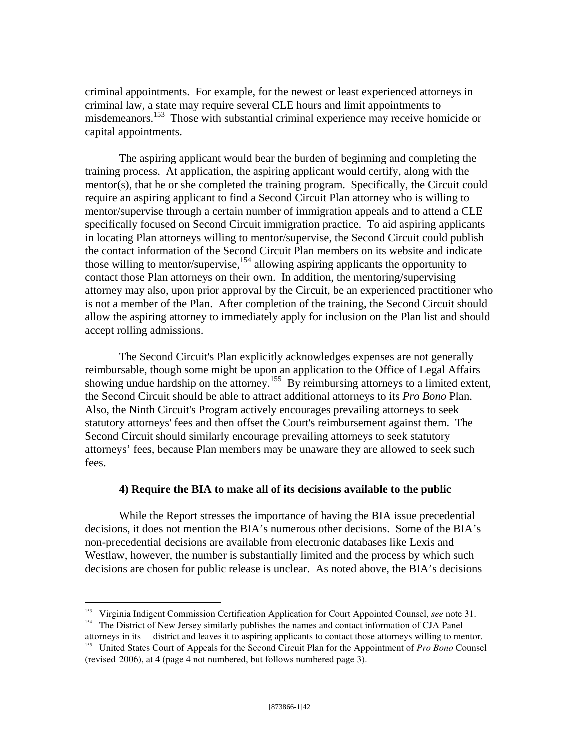criminal appointments. For example, for the newest or least experienced attorneys in criminal law, a state may require several CLE hours and limit appointments to misdemeanors.<sup>153</sup> Those with substantial criminal experience may receive homicide or capital appointments.

 The aspiring applicant would bear the burden of beginning and completing the training process. At application, the aspiring applicant would certify, along with the mentor(s), that he or she completed the training program. Specifically, the Circuit could require an aspiring applicant to find a Second Circuit Plan attorney who is willing to mentor/supervise through a certain number of immigration appeals and to attend a CLE specifically focused on Second Circuit immigration practice. To aid aspiring applicants in locating Plan attorneys willing to mentor/supervise, the Second Circuit could publish the contact information of the Second Circuit Plan members on its website and indicate those willing to mentor/supervise,<sup>154</sup> allowing aspiring applicants the opportunity to contact those Plan attorneys on their own. In addition, the mentoring/supervising attorney may also, upon prior approval by the Circuit, be an experienced practitioner who is not a member of the Plan. After completion of the training, the Second Circuit should allow the aspiring attorney to immediately apply for inclusion on the Plan list and should accept rolling admissions.

 The Second Circuit's Plan explicitly acknowledges expenses are not generally reimbursable, though some might be upon an application to the Office of Legal Affairs showing undue hardship on the attorney.<sup>155</sup> By reimbursing attorneys to a limited extent, the Second Circuit should be able to attract additional attorneys to its *Pro Bono* Plan. Also, the Ninth Circuit's Program actively encourages prevailing attorneys to seek statutory attorneys' fees and then offset the Court's reimbursement against them. The Second Circuit should similarly encourage prevailing attorneys to seek statutory attorneys' fees, because Plan members may be unaware they are allowed to seek such fees.

## **4) Require the BIA to make all of its decisions available to the public**

While the Report stresses the importance of having the BIA issue precedential decisions, it does not mention the BIA's numerous other decisions. Some of the BIA's non-precedential decisions are available from electronic databases like Lexis and Westlaw, however, the number is substantially limited and the process by which such decisions are chosen for public release is unclear. As noted above, the BIA's decisions

<sup>&</sup>lt;sup>153</sup> Virginia Indigent Commission Certification Application for Court Appointed Counsel, *see* note 31.<br><sup>154</sup> The District of New Jersey similarly publishes the names and contact information of CJA Panel

attorneys in its district and leaves it to aspiring applicants to contact those attorneys willing to mentor. 155 United States Court of Appeals for the Second Circuit Plan for the Appointment of *Pro Bono* Counsel (revised 2006), at 4 (page 4 not numbered, but follows numbered page 3).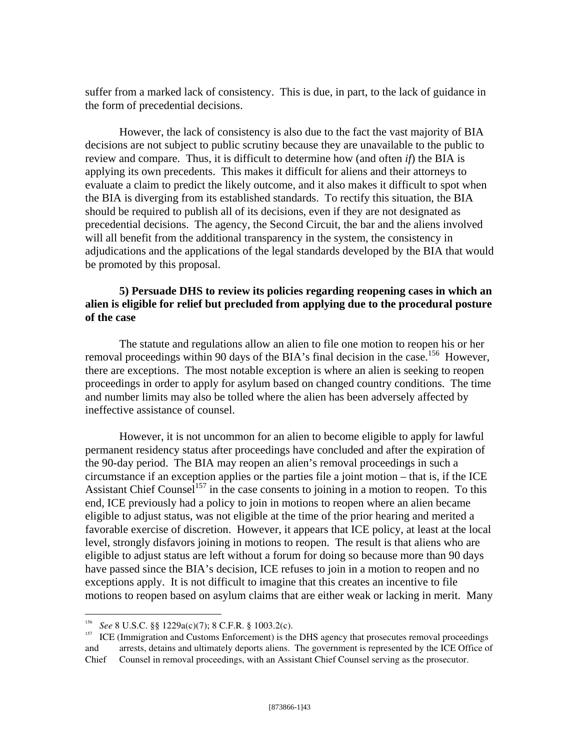suffer from a marked lack of consistency. This is due, in part, to the lack of guidance in the form of precedential decisions.

 However, the lack of consistency is also due to the fact the vast majority of BIA decisions are not subject to public scrutiny because they are unavailable to the public to review and compare. Thus, it is difficult to determine how (and often *if*) the BIA is applying its own precedents. This makes it difficult for aliens and their attorneys to evaluate a claim to predict the likely outcome, and it also makes it difficult to spot when the BIA is diverging from its established standards. To rectify this situation, the BIA should be required to publish all of its decisions, even if they are not designated as precedential decisions. The agency, the Second Circuit, the bar and the aliens involved will all benefit from the additional transparency in the system, the consistency in adjudications and the applications of the legal standards developed by the BIA that would be promoted by this proposal.

## **5) Persuade DHS to review its policies regarding reopening cases in which an alien is eligible for relief but precluded from applying due to the procedural posture of the case**

 The statute and regulations allow an alien to file one motion to reopen his or her removal proceedings within 90 days of the BIA's final decision in the case.<sup>156</sup> However, there are exceptions. The most notable exception is where an alien is seeking to reopen proceedings in order to apply for asylum based on changed country conditions. The time and number limits may also be tolled where the alien has been adversely affected by ineffective assistance of counsel.

 However, it is not uncommon for an alien to become eligible to apply for lawful permanent residency status after proceedings have concluded and after the expiration of the 90-day period. The BIA may reopen an alien's removal proceedings in such a circumstance if an exception applies or the parties file a joint motion – that is, if the ICE Assistant Chief Counsel<sup>157</sup> in the case consents to joining in a motion to reopen. To this end, ICE previously had a policy to join in motions to reopen where an alien became eligible to adjust status, was not eligible at the time of the prior hearing and merited a favorable exercise of discretion. However, it appears that ICE policy, at least at the local level, strongly disfavors joining in motions to reopen. The result is that aliens who are eligible to adjust status are left without a forum for doing so because more than 90 days have passed since the BIA's decision, ICE refuses to join in a motion to reopen and no exceptions apply. It is not difficult to imagine that this creates an incentive to file motions to reopen based on asylum claims that are either weak or lacking in merit. Many

<sup>&</sup>lt;sup>156</sup> *See* 8 U.S.C. §§ 1229a(c)(7); 8 C.F.R. § 1003.2(c).<br><sup>157</sup> ICE (Immigration and Customs Enforcement) is the DHS agency that prosecutes removal proceedings and arrests, detains and ultimately deports aliens. The government is represented by the ICE Office of Chief Counsel in removal proceedings, with an Assistant Chief Counsel serving as the prosecutor.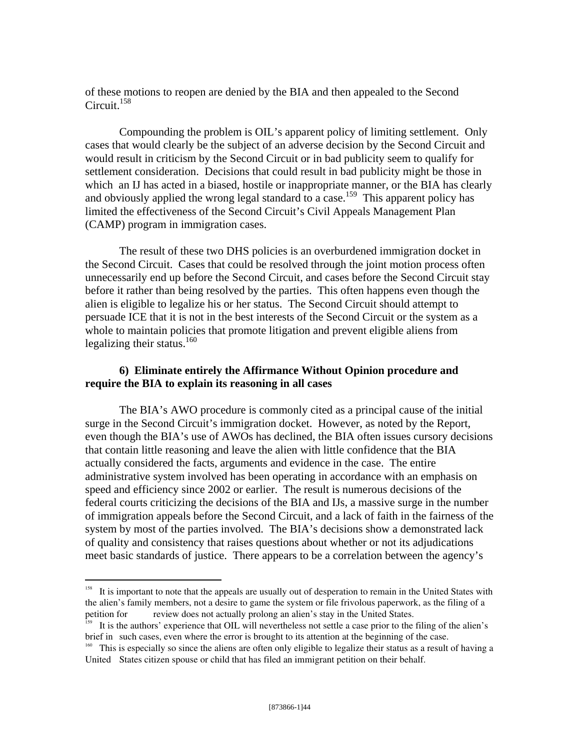of these motions to reopen are denied by the BIA and then appealed to the Second Circuit. $158$ 

 Compounding the problem is OIL's apparent policy of limiting settlement. Only cases that would clearly be the subject of an adverse decision by the Second Circuit and would result in criticism by the Second Circuit or in bad publicity seem to qualify for settlement consideration. Decisions that could result in bad publicity might be those in which an IJ has acted in a biased, hostile or inappropriate manner, or the BIA has clearly and obviously applied the wrong legal standard to a case.<sup>159</sup> This apparent policy has limited the effectiveness of the Second Circuit's Civil Appeals Management Plan (CAMP) program in immigration cases.

 The result of these two DHS policies is an overburdened immigration docket in the Second Circuit. Cases that could be resolved through the joint motion process often unnecessarily end up before the Second Circuit, and cases before the Second Circuit stay before it rather than being resolved by the parties. This often happens even though the alien is eligible to legalize his or her status. The Second Circuit should attempt to persuade ICE that it is not in the best interests of the Second Circuit or the system as a whole to maintain policies that promote litigation and prevent eligible aliens from legalizing their status. $160$ 

## **6) Eliminate entirely the Affirmance Without Opinion procedure and require the BIA to explain its reasoning in all cases**

 The BIA's AWO procedure is commonly cited as a principal cause of the initial surge in the Second Circuit's immigration docket. However, as noted by the Report, even though the BIA's use of AWOs has declined, the BIA often issues cursory decisions that contain little reasoning and leave the alien with little confidence that the BIA actually considered the facts, arguments and evidence in the case. The entire administrative system involved has been operating in accordance with an emphasis on speed and efficiency since 2002 or earlier. The result is numerous decisions of the federal courts criticizing the decisions of the BIA and IJs, a massive surge in the number of immigration appeals before the Second Circuit, and a lack of faith in the fairness of the system by most of the parties involved. The BIA's decisions show a demonstrated lack of quality and consistency that raises questions about whether or not its adjudications meet basic standards of justice. There appears to be a correlation between the agency's

<sup>&</sup>lt;sup>158</sup> It is important to note that the appeals are usually out of desperation to remain in the United States with the alien's family members, not a desire to game the system or file frivolous paperwork, as the filing of a petition for review does not actually prolong an alien's stay in the United States. review does not actually prolong an alien's stay in the United States.

<sup>&</sup>lt;sup>159</sup> It is the authors' experience that OIL will nevertheless not settle a case prior to the filing of the alien's brief in such cases, even where the error is brought to its attention at the beginning of the case.

<sup>&</sup>lt;sup>160</sup> This is especially so since the aliens are often only eligible to legalize their status as a result of having a United States citizen spouse or child that has filed an immigrant petition on their behalf.